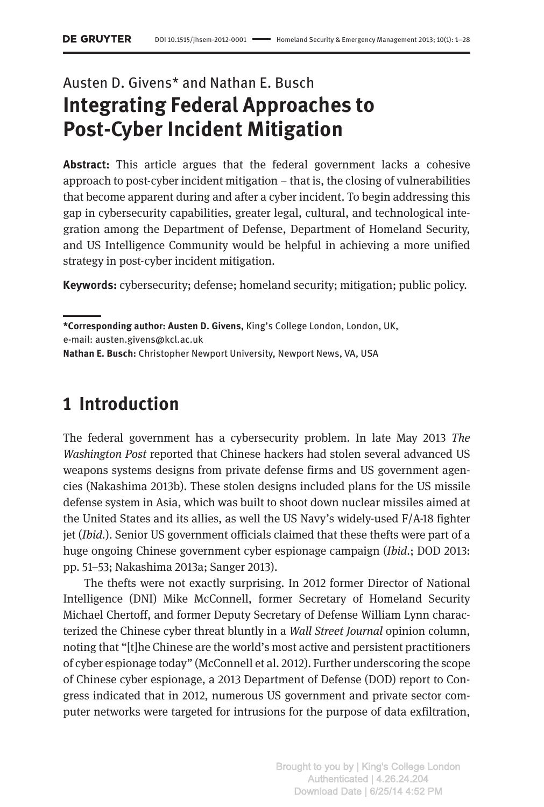# Austen D. Givens\* and Nathan E. Busch **Integrating Federal Approaches to Post-Cyber Incident Mitigation**

**Abstract:** This article argues that the federal government lacks a cohesive approach to post-cyber incident mitigation – that is, the closing of vulnerabilities that become apparent during and after a cyber incident. To begin addressing this gap in cybersecurity capabilities, greater legal, cultural, and technological integration among the Department of Defense, Department of Homeland Security, and US Intelligence Community would be helpful in achieving a more unified strategy in post-cyber incident mitigation.

**Keywords:** cybersecurity; defense; homeland security; mitigation; public policy.

**\*Corresponding author: Austen D. Givens,** King's College London, London, UK,

e-mail: austen.givens@kcl.ac.uk

**Nathan E. Busch:** Christopher Newport University, Newport News, VA, USA

## **1 Introduction**

The federal government has a cybersecurity problem. In late May 2013 *The Washington Post* reported that Chinese hackers had stolen several advanced US weapons systems designs from private defense firms and US government agencies (Nakashima 2013b). These stolen designs included plans for the US missile defense system in Asia, which was built to shoot down nuclear missiles aimed at the United States and its allies, as well the US Navy's widely-used F/A-18 fighter jet (*Ibid.*). Senior US government officials claimed that these thefts were part of a huge ongoing Chinese government cyber espionage campaign (*Ibid.*; DOD 2013: pp. 51–53; Nakashima 2013a; Sanger 2013).

The thefts were not exactly surprising. In 2012 former Director of National Intelligence (DNI) Mike McConnell, former Secretary of Homeland Security Michael Chertoff, and former Deputy Secretary of Defense William Lynn characterized the Chinese cyber threat bluntly in a *Wall Street Journal* opinion column, noting that "[t]he Chinese are the world's most active and persistent practitioners of cyber espionage today" (McConnell et al. 2012). Further underscoring the scope of Chinese cyber espionage, a 2013 Department of Defense (DOD) report to Congress indicated that in 2012, numerous US government and private sector computer networks were targeted for intrusions for the purpose of data exfiltration,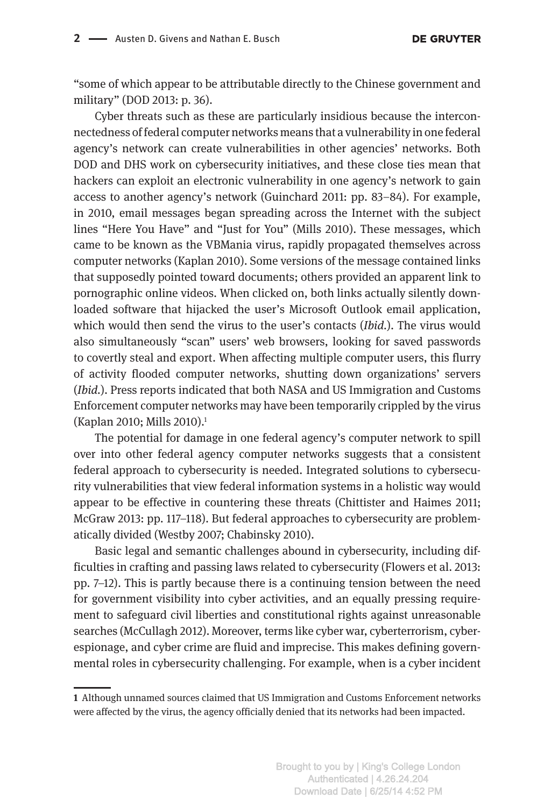"some of which appear to be attributable directly to the Chinese government and military" (DOD 2013: p. 36).

Cyber threats such as these are particularly insidious because the interconnectedness of federal computer networks means that a vulnerability in one federal agency's network can create vulnerabilities in other agencies' networks. Both DOD and DHS work on cybersecurity initiatives, and these close ties mean that hackers can exploit an electronic vulnerability in one agency's network to gain access to another agency's network (Guinchard 2011: pp. 83–84). For example, in 2010, email messages began spreading across the Internet with the subject lines "Here You Have" and "Just for You" (Mills 2010). These messages, which came to be known as the VBMania virus, rapidly propagated themselves across computer networks (Kaplan 2010). Some versions of the message contained links that supposedly pointed toward documents; others provided an apparent link to pornographic online videos. When clicked on, both links actually silently downloaded software that hijacked the user's Microsoft Outlook email application, which would then send the virus to the user's contacts (*Ibid.*). The virus would also simultaneously "scan" users' web browsers, looking for saved passwords to covertly steal and export. When affecting multiple computer users, this flurry of activity flooded computer networks, shutting down organizations' servers (*Ibid.*). Press reports indicated that both NASA and US Immigration and Customs Enforcement computer networks may have been temporarily crippled by the virus (Kaplan 2010; Mills 2010).<sup>1</sup>

The potential for damage in one federal agency's computer network to spill over into other federal agency computer networks suggests that a consistent federal approach to cybersecurity is needed. Integrated solutions to cybersecurity vulnerabilities that view federal information systems in a holistic way would appear to be effective in countering these threats (Chittister and Haimes 2011; McGraw 2013: pp. 117–118). But federal approaches to cybersecurity are problematically divided (Westby 2007; Chabinsky 2010).

Basic legal and semantic challenges abound in cybersecurity, including difficulties in crafting and passing laws related to cybersecurity (Flowers et al. 2013: pp. 7–12). This is partly because there is a continuing tension between the need for government visibility into cyber activities, and an equally pressing requirement to safeguard civil liberties and constitutional rights against unreasonable searches (McCullagh 2012). Moreover, terms like cyber war, cyberterrorism, cyberespionage, and cyber crime are fluid and imprecise. This makes defining governmental roles in cybersecurity challenging. For example, when is a cyber incident

**<sup>1</sup>** Although unnamed sources claimed that US Immigration and Customs Enforcement networks were affected by the virus, the agency officially denied that its networks had been impacted.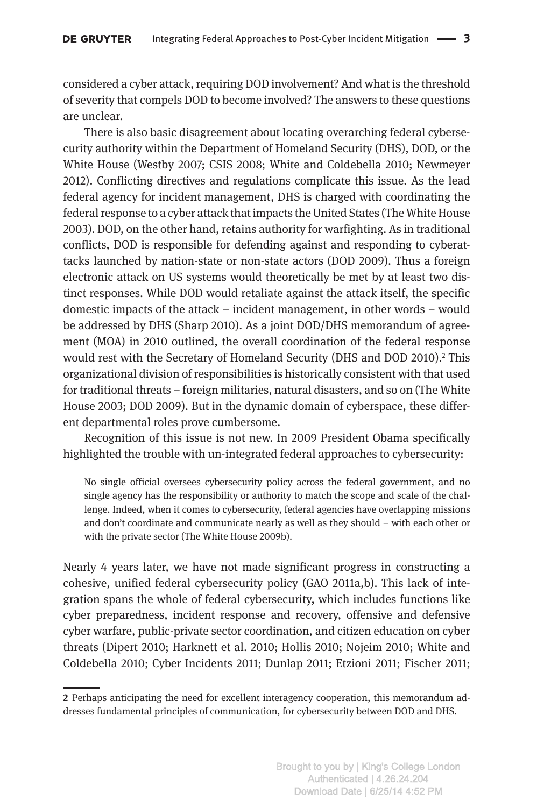considered a cyber attack, requiring DOD involvement? And what is the threshold of severity that compels DOD to become involved? The answers to these questions are unclear.

There is also basic disagreement about locating overarching federal cybersecurity authority within the Department of Homeland Security (DHS), DOD, or the White House (Westby 2007; CSIS 2008; White and Coldebella 2010; Newmeyer 2012). Conflicting directives and regulations complicate this issue. As the lead federal agency for incident management, DHS is charged with coordinating the federal response to a cyber attack that impacts the United States (The White House 2003). DOD, on the other hand, retains authority for warfighting. As in traditional conflicts, DOD is responsible for defending against and responding to cyberattacks launched by nation-state or non-state actors (DOD 2009). Thus a foreign electronic attack on US systems would theoretically be met by at least two distinct responses. While DOD would retaliate against the attack itself, the specific domestic impacts of the attack – incident management, in other words – would be addressed by DHS (Sharp 2010). As a joint DOD/DHS memorandum of agreement (MOA) in 2010 outlined, the overall coordination of the federal response would rest with the Secretary of Homeland Security (DHS and DOD 2010).<sup>2</sup> This organizational division of responsibilities is historically consistent with that used for traditional threats – foreign militaries, natural disasters, and so on (The White House 2003; DOD 2009). But in the dynamic domain of cyberspace, these different departmental roles prove cumbersome.

Recognition of this issue is not new. In 2009 President Obama specifically highlighted the trouble with un-integrated federal approaches to cybersecurity:

No single official oversees cybersecurity policy across the federal government, and no single agency has the responsibility or authority to match the scope and scale of the challenge. Indeed, when it comes to cybersecurity, federal agencies have overlapping missions and don't coordinate and communicate nearly as well as they should – with each other or with the private sector (The White House 2009b).

Nearly 4 years later, we have not made significant progress in constructing a cohesive, unified federal cybersecurity policy (GAO 2011a,b). This lack of integration spans the whole of federal cybersecurity, which includes functions like cyber preparedness, incident response and recovery, offensive and defensive cyber warfare, public-private sector coordination, and citizen education on cyber threats (Dipert 2010; Harknett et al. 2010; Hollis 2010; Nojeim 2010; White and Coldebella 2010; Cyber Incidents 2011; Dunlap 2011; Etzioni 2011; Fischer 2011;

**<sup>2</sup>** Perhaps anticipating the need for excellent interagency cooperation, this memorandum addresses fundamental principles of communication, for cybersecurity between DOD and DHS.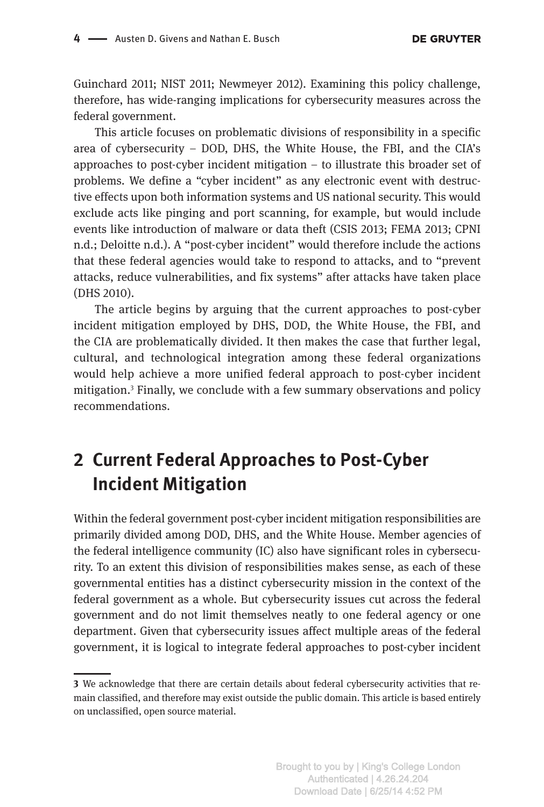Guinchard 2011; NIST 2011; Newmeyer 2012). Examining this policy challenge, therefore, has wide-ranging implications for cybersecurity measures across the federal government.

This article focuses on problematic divisions of responsibility in a specific area of cybersecurity – DOD, DHS, the White House, the FBI, and the CIA's approaches to post-cyber incident mitigation – to illustrate this broader set of problems. We define a "cyber incident" as any electronic event with destructive effects upon both information systems and US national security. This would exclude acts like pinging and port scanning, for example, but would include events like introduction of malware or data theft (CSIS 2013; FEMA 2013; CPNI n.d.; Deloitte n.d.). A "post-cyber incident" would therefore include the actions that these federal agencies would take to respond to attacks, and to "prevent attacks, reduce vulnerabilities, and fix systems" after attacks have taken place (DHS 2010).

The article begins by arguing that the current approaches to post-cyber incident mitigation employed by DHS, DOD, the White House, the FBI, and the CIA are problematically divided. It then makes the case that further legal, cultural, and technological integration among these federal organizations would help achieve a more unified federal approach to post-cyber incident mitigation.3 Finally, we conclude with a few summary observations and policy recommendations.

# **2 Current Federal Approaches to Post-Cyber Incident Mitigation**

Within the federal government post-cyber incident mitigation responsibilities are primarily divided among DOD, DHS, and the White House. Member agencies of the federal intelligence community (IC) also have significant roles in cybersecurity. To an extent this division of responsibilities makes sense, as each of these governmental entities has a distinct cybersecurity mission in the context of the federal government as a whole. But cybersecurity issues cut across the federal government and do not limit themselves neatly to one federal agency or one department. Given that cybersecurity issues affect multiple areas of the federal government, it is logical to integrate federal approaches to post-cyber incident

**<sup>3</sup>** We acknowledge that there are certain details about federal cybersecurity activities that remain classified, and therefore may exist outside the public domain. This article is based entirely on unclassified, open source material.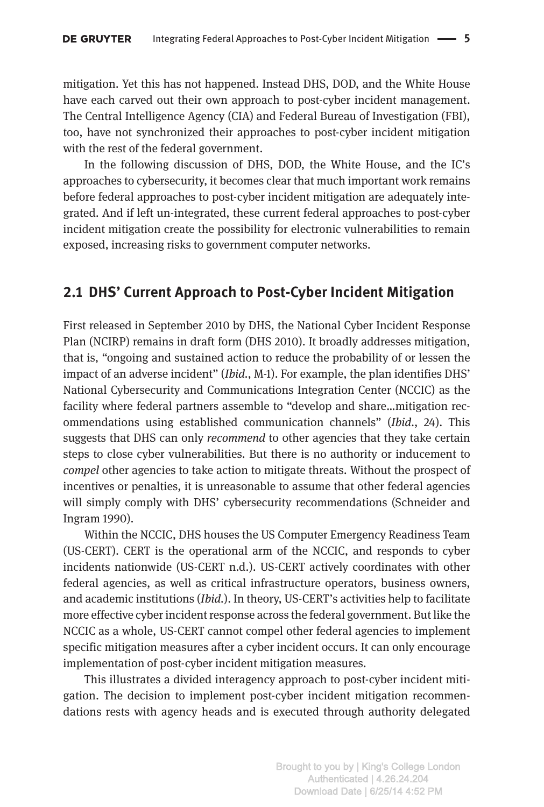mitigation. Yet this has not happened. Instead DHS, DOD, and the White House have each carved out their own approach to post-cyber incident management. The Central Intelligence Agency (CIA) and Federal Bureau of Investigation (FBI), too, have not synchronized their approaches to post-cyber incident mitigation with the rest of the federal government.

In the following discussion of DHS, DOD, the White House, and the IC's approaches to cybersecurity, it becomes clear that much important work remains before federal approaches to post-cyber incident mitigation are adequately integrated. And if left un-integrated, these current federal approaches to post-cyber incident mitigation create the possibility for electronic vulnerabilities to remain exposed, increasing risks to government computer networks.

### **2.1 DHS' Current Approach to Post-Cyber Incident Mitigation**

First released in September 2010 by DHS, the National Cyber Incident Response Plan (NCIRP) remains in draft form (DHS 2010). It broadly addresses mitigation, that is, "ongoing and sustained action to reduce the probability of or lessen the impact of an adverse incident" (*Ibid.*, M-1). For example, the plan identifies DHS' National Cybersecurity and Communications Integration Center (NCCIC) as the facility where federal partners assemble to "develop and share…mitigation recommendations using established communication channels" (*Ibid.*, 24). This suggests that DHS can only *recommend* to other agencies that they take certain steps to close cyber vulnerabilities. But there is no authority or inducement to *compel* other agencies to take action to mitigate threats. Without the prospect of incentives or penalties, it is unreasonable to assume that other federal agencies will simply comply with DHS' cybersecurity recommendations (Schneider and Ingram 1990).

Within the NCCIC, DHS houses the US Computer Emergency Readiness Team (US-CERT). CERT is the operational arm of the NCCIC, and responds to cyber incidents nationwide (US-CERT n.d.). US-CERT actively coordinates with other federal agencies, as well as critical infrastructure operators, business owners, and academic institutions (*Ibid.*). In theory, US-CERT's activities help to facilitate more effective cyber incident response across the federal government. But like the NCCIC as a whole, US-CERT cannot compel other federal agencies to implement specific mitigation measures after a cyber incident occurs. It can only encourage implementation of post-cyber incident mitigation measures.

This illustrates a divided interagency approach to post-cyber incident mitigation. The decision to implement post-cyber incident mitigation recommendations rests with agency heads and is executed through authority delegated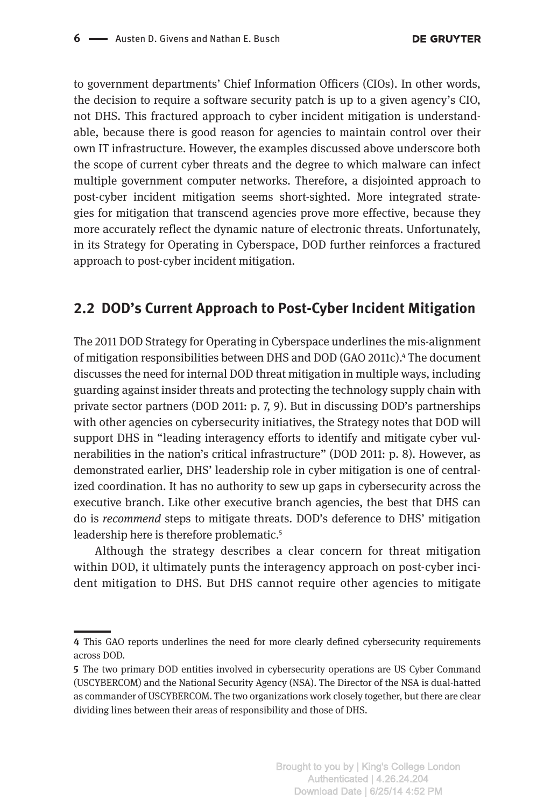to government departments' Chief Information Officers (CIOs). In other words, the decision to require a software security patch is up to a given agency's CIO, not DHS. This fractured approach to cyber incident mitigation is understandable, because there is good reason for agencies to maintain control over their own IT infrastructure. However, the examples discussed above underscore both the scope of current cyber threats and the degree to which malware can infect multiple government computer networks. Therefore, a disjointed approach to post-cyber incident mitigation seems short-sighted. More integrated strategies for mitigation that transcend agencies prove more effective, because they more accurately reflect the dynamic nature of electronic threats. Unfortunately, in its Strategy for Operating in Cyberspace, DOD further reinforces a fractured approach to post-cyber incident mitigation.

### **2.2 DOD's Current Approach to Post-Cyber Incident Mitigation**

The 2011 DOD Strategy for Operating in Cyberspace underlines the mis-alignment of mitigation responsibilities between DHS and DOD (GAO 2011c).<sup>4</sup> The document discusses the need for internal DOD threat mitigation in multiple ways, including guarding against insider threats and protecting the technology supply chain with private sector partners (DOD 2011: p. 7, 9). But in discussing DOD's partnerships with other agencies on cybersecurity initiatives, the Strategy notes that DOD will support DHS in "leading interagency efforts to identify and mitigate cyber vulnerabilities in the nation's critical infrastructure" (DOD 2011: p. 8). However, as demonstrated earlier, DHS' leadership role in cyber mitigation is one of centralized coordination. It has no authority to sew up gaps in cybersecurity across the executive branch. Like other executive branch agencies, the best that DHS can do is *recommend* steps to mitigate threats. DOD's deference to DHS' mitigation leadership here is therefore problematic.<sup>5</sup>

Although the strategy describes a clear concern for threat mitigation within DOD, it ultimately punts the interagency approach on post-cyber incident mitigation to DHS. But DHS cannot require other agencies to mitigate

**<sup>4</sup>** This GAO reports underlines the need for more clearly defined cybersecurity requirements across DOD.

**<sup>5</sup>** The two primary DOD entities involved in cybersecurity operations are US Cyber Command (USCYBERCOM) and the National Security Agency (NSA). The Director of the NSA is dual-hatted as commander of USCYBERCOM. The two organizations work closely together, but there are clear dividing lines between their areas of responsibility and those of DHS.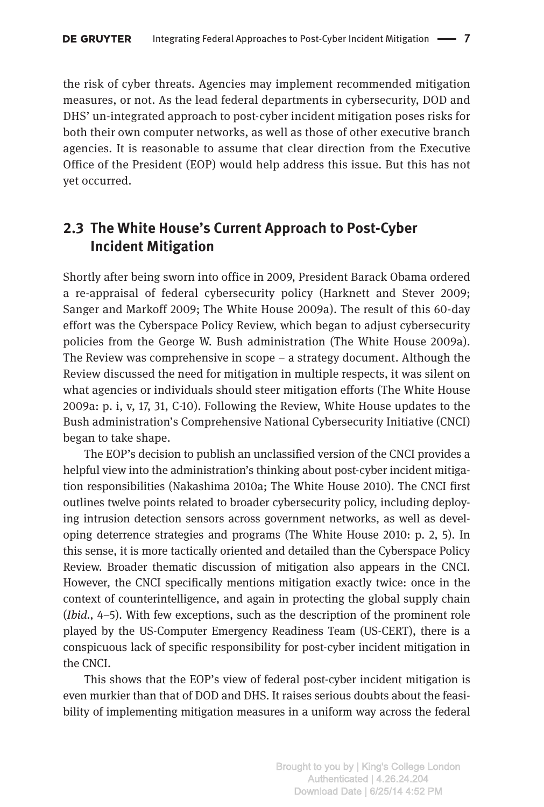the risk of cyber threats. Agencies may implement recommended mitigation measures, or not. As the lead federal departments in cybersecurity, DOD and DHS' un-integrated approach to post-cyber incident mitigation poses risks for both their own computer networks, as well as those of other executive branch agencies. It is reasonable to assume that clear direction from the Executive Office of the President (EOP) would help address this issue. But this has not yet occurred.

### **2.3 The White House's Current Approach to Post-Cyber Incident Mitigation**

Shortly after being sworn into office in 2009, President Barack Obama ordered a re-appraisal of federal cybersecurity policy (Harknett and Stever 2009; Sanger and Markoff 2009; The White House 2009a). The result of this 60-day effort was the Cyberspace Policy Review, which began to adjust cybersecurity policies from the George W. Bush administration (The White House 2009a). The Review was comprehensive in scope – a strategy document. Although the Review discussed the need for mitigation in multiple respects, it was silent on what agencies or individuals should steer mitigation efforts (The White House 2009a: p. i, v, 17, 31, C-10). Following the Review, White House updates to the Bush administration's Comprehensive National Cybersecurity Initiative (CNCI) began to take shape.

The EOP's decision to publish an unclassified version of the CNCI provides a helpful view into the administration's thinking about post-cyber incident mitigation responsibilities (Nakashima 2010a; The White House 2010). The CNCI first outlines twelve points related to broader cybersecurity policy, including deploying intrusion detection sensors across government networks, as well as developing deterrence strategies and programs (The White House 2010: p. 2, 5). In this sense, it is more tactically oriented and detailed than the Cyberspace Policy Review. Broader thematic discussion of mitigation also appears in the CNCI. However, the CNCI specifically mentions mitigation exactly twice: once in the context of counterintelligence, and again in protecting the global supply chain (*Ibid.*, 4–5). With few exceptions, such as the description of the prominent role played by the US-Computer Emergency Readiness Team (US-CERT), there is a conspicuous lack of specific responsibility for post-cyber incident mitigation in the CNCI.

This shows that the EOP's view of federal post-cyber incident mitigation is even murkier than that of DOD and DHS. It raises serious doubts about the feasibility of implementing mitigation measures in a uniform way across the federal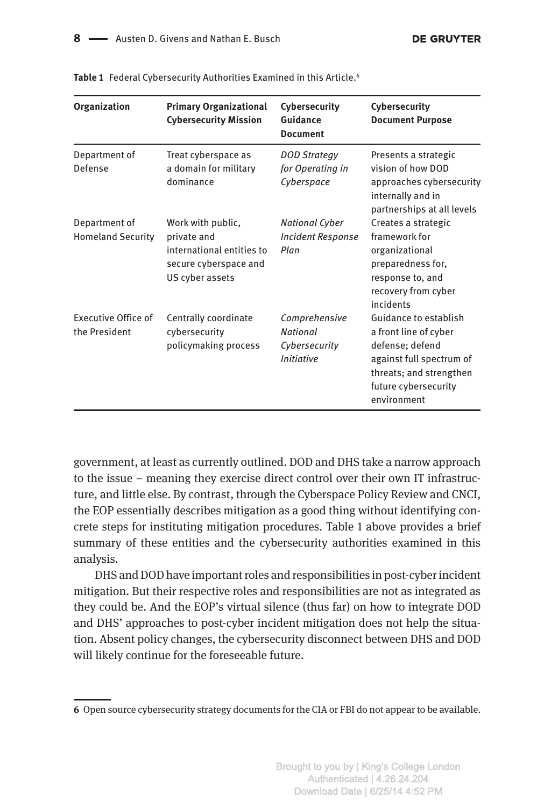| <b>Organization</b>                         | <b>Primary Organizational</b><br><b>Cybersecurity Mission</b>                                             | Cybersecurity<br>Guidance<br><b>Document</b>                           | Cybersecurity<br><b>Document Purpose</b>                                                                                                                        |
|---------------------------------------------|-----------------------------------------------------------------------------------------------------------|------------------------------------------------------------------------|-----------------------------------------------------------------------------------------------------------------------------------------------------------------|
| Department of<br>Defense                    | Treat cyberspace as<br>a domain for military<br>dominance                                                 | <b>DOD Strategy</b><br>for Operating in<br>Cyberspace                  | Presents a strategic<br>vision of how DOD<br>approaches cybersecurity<br>internally and in<br>partnerships at all levels                                        |
| Department of<br><b>Homeland Security</b>   | Work with public,<br>private and<br>international entities to<br>secure cyberspace and<br>US cyber assets | <b>National Cyber</b><br><b>Incident Response</b><br>Plan              | Creates a strategic<br>framework for<br>organizational<br>preparedness for,<br>response to, and<br>recovery from cyber<br>incidents                             |
| <b>Executive Office of</b><br>the President | Centrally coordinate<br>cybersecurity<br>policymaking process                                             | Comprehensive<br><b>National</b><br>Cybersecurity<br><b>Initiative</b> | Guidance to establish<br>a front line of cyber<br>defense; defend<br>against full spectrum of<br>threats; and strengthen<br>future cybersecurity<br>environment |

**Table 1** Federal Cybersecurity Authorities Examined in this Article.6

government, at least as currently outlined. DOD and DHS take a narrow approach to the issue – meaning they exercise direct control over their own IT infrastructure, and little else. By contrast, through the Cyberspace Policy Review and CNCI, the EOP essentially describes mitigation as a good thing without identifying concrete steps for instituting mitigation procedures. Table 1 above provides a brief summary of these entities and the cybersecurity authorities examined in this analysis.

DHS and DOD have important roles and responsibilities in post-cyber incident mitigation. But their respective roles and responsibilities are not as integrated as they could be. And the EOP's virtual silence (thus far) on how to integrate DOD and DHS' approaches to post-cyber incident mitigation does not help the situation. Absent policy changes, the cybersecurity disconnect between DHS and DOD will likely continue for the foreseeable future.

**<sup>6</sup>** Open source cybersecurity strategy documents for the CIA or FBI do not appear to be available.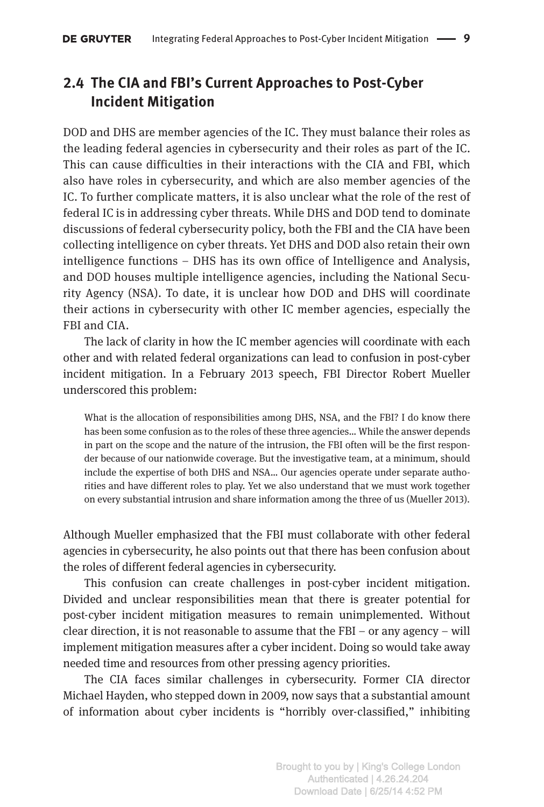### **2.4 The CIA and FBI's Current Approaches to Post-Cyber Incident Mitigation**

DOD and DHS are member agencies of the IC. They must balance their roles as the leading federal agencies in cybersecurity and their roles as part of the IC. This can cause difficulties in their interactions with the CIA and FBI, which also have roles in cybersecurity, and which are also member agencies of the IC. To further complicate matters, it is also unclear what the role of the rest of federal IC is in addressing cyber threats. While DHS and DOD tend to dominate discussions of federal cybersecurity policy, both the FBI and the CIA have been collecting intelligence on cyber threats. Yet DHS and DOD also retain their own intelligence functions – DHS has its own office of Intelligence and Analysis, and DOD houses multiple intelligence agencies, including the National Security Agency (NSA). To date, it is unclear how DOD and DHS will coordinate their actions in cybersecurity with other IC member agencies, especially the FBI and CIA.

The lack of clarity in how the IC member agencies will coordinate with each other and with related federal organizations can lead to confusion in post-cyber incident mitigation. In a February 2013 speech, FBI Director Robert Mueller underscored this problem:

What is the allocation of responsibilities among DHS, NSA, and the FBI? I do know there has been some confusion as to the roles of these three agencies… While the answer depends in part on the scope and the nature of the intrusion, the FBI often will be the first responder because of our nationwide coverage. But the investigative team, at a minimum, should include the expertise of both DHS and NSA… Our agencies operate under separate authorities and have different roles to play. Yet we also understand that we must work together on every substantial intrusion and share information among the three of us (Mueller 2013).

Although Mueller emphasized that the FBI must collaborate with other federal agencies in cybersecurity, he also points out that there has been confusion about the roles of different federal agencies in cybersecurity.

This confusion can create challenges in post-cyber incident mitigation. Divided and unclear responsibilities mean that there is greater potential for post-cyber incident mitigation measures to remain unimplemented. Without clear direction, it is not reasonable to assume that the  $FBI - or$  any agency – will implement mitigation measures after a cyber incident. Doing so would take away needed time and resources from other pressing agency priorities.

The CIA faces similar challenges in cybersecurity. Former CIA director Michael Hayden, who stepped down in 2009, now says that a substantial amount of information about cyber incidents is "horribly over-classified," inhibiting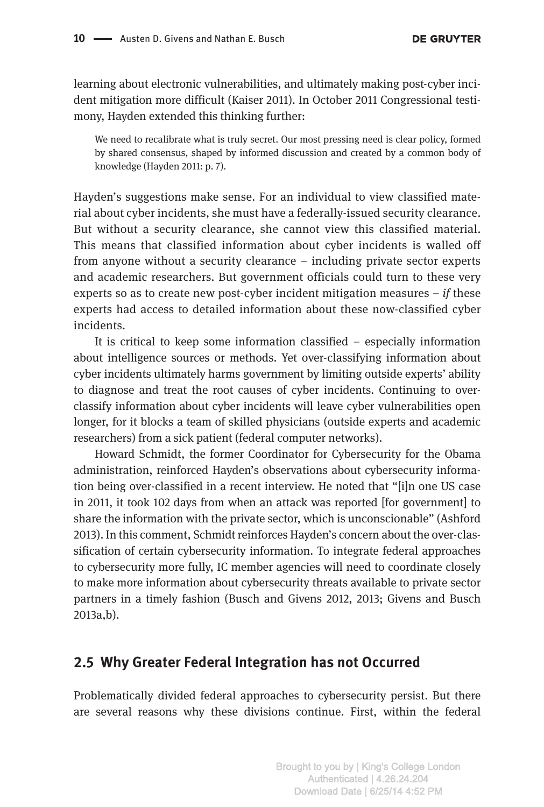learning about electronic vulnerabilities, and ultimately making post-cyber incident mitigation more difficult (Kaiser 2011). In October 2011 Congressional testimony, Hayden extended this thinking further:

We need to recalibrate what is truly secret. Our most pressing need is clear policy, formed by shared consensus, shaped by informed discussion and created by a common body of knowledge (Hayden 2011: p. 7).

Hayden's suggestions make sense. For an individual to view classified material about cyber incidents, she must have a federally-issued security clearance. But without a security clearance, she cannot view this classified material. This means that classified information about cyber incidents is walled off from anyone without a security clearance – including private sector experts and academic researchers. But government officials could turn to these very experts so as to create new post-cyber incident mitigation measures – *if* these experts had access to detailed information about these now-classified cyber incidents.

It is critical to keep some information classified – especially information about intelligence sources or methods. Yet over-classifying information about cyber incidents ultimately harms government by limiting outside experts' ability to diagnose and treat the root causes of cyber incidents. Continuing to overclassify information about cyber incidents will leave cyber vulnerabilities open longer, for it blocks a team of skilled physicians (outside experts and academic researchers) from a sick patient (federal computer networks).

Howard Schmidt, the former Coordinator for Cybersecurity for the Obama administration, reinforced Hayden's observations about cybersecurity information being over-classified in a recent interview. He noted that "[i]n one US case in 2011, it took 102 days from when an attack was reported [for government] to share the information with the private sector, which is unconscionable" (Ashford 2013). In this comment, Schmidt reinforces Hayden's concern about the over-classification of certain cybersecurity information. To integrate federal approaches to cybersecurity more fully, IC member agencies will need to coordinate closely to make more information about cybersecurity threats available to private sector partners in a timely fashion (Busch and Givens 2012, 2013; Givens and Busch 2013a,b).

#### **2.5 Why Greater Federal Integration has not Occurred**

Problematically divided federal approaches to cybersecurity persist. But there are several reasons why these divisions continue. First, within the federal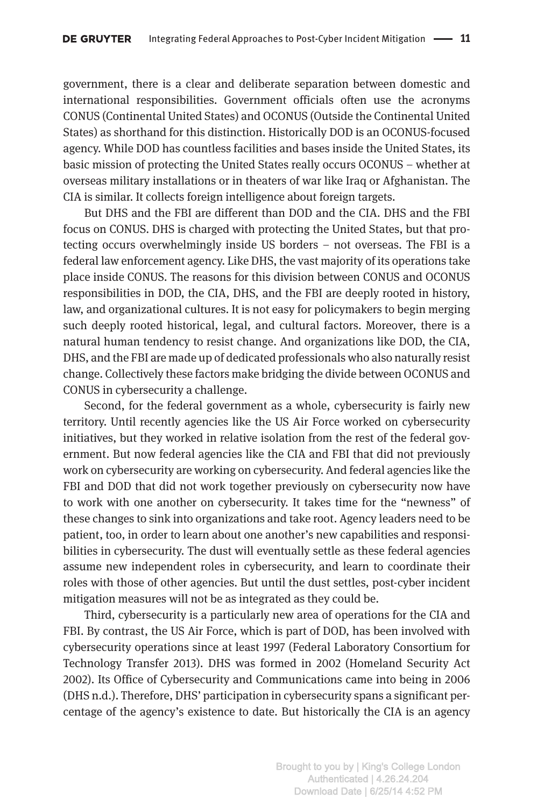government, there is a clear and deliberate separation between domestic and international responsibilities. Government officials often use the acronyms CONUS (Continental United States) and OCONUS (Outside the Continental United States) as shorthand for this distinction. Historically DOD is an OCONUS-focused agency. While DOD has countless facilities and bases inside the United States, its basic mission of protecting the United States really occurs OCONUS – whether at overseas military installations or in theaters of war like Iraq or Afghanistan. The CIA is similar. It collects foreign intelligence about foreign targets.

But DHS and the FBI are different than DOD and the CIA. DHS and the FBI focus on CONUS. DHS is charged with protecting the United States, but that protecting occurs overwhelmingly inside US borders – not overseas. The FBI is a federal law enforcement agency. Like DHS, the vast majority of its operations take place inside CONUS. The reasons for this division between CONUS and OCONUS responsibilities in DOD, the CIA, DHS, and the FBI are deeply rooted in history, law, and organizational cultures. It is not easy for policymakers to begin merging such deeply rooted historical, legal, and cultural factors. Moreover, there is a natural human tendency to resist change. And organizations like DOD, the CIA, DHS, and the FBI are made up of dedicated professionals who also naturally resist change. Collectively these factors make bridging the divide between OCONUS and CONUS in cybersecurity a challenge.

Second, for the federal government as a whole, cybersecurity is fairly new territory. Until recently agencies like the US Air Force worked on cybersecurity initiatives, but they worked in relative isolation from the rest of the federal government. But now federal agencies like the CIA and FBI that did not previously work on cybersecurity are working on cybersecurity. And federal agencies like the FBI and DOD that did not work together previously on cybersecurity now have to work with one another on cybersecurity. It takes time for the "newness" of these changes to sink into organizations and take root. Agency leaders need to be patient, too, in order to learn about one another's new capabilities and responsibilities in cybersecurity. The dust will eventually settle as these federal agencies assume new independent roles in cybersecurity, and learn to coordinate their roles with those of other agencies. But until the dust settles, post-cyber incident mitigation measures will not be as integrated as they could be.

Third, cybersecurity is a particularly new area of operations for the CIA and FBI. By contrast, the US Air Force, which is part of DOD, has been involved with cybersecurity operations since at least 1997 (Federal Laboratory Consortium for Technology Transfer 2013). DHS was formed in 2002 (Homeland Security Act 2002). Its Office of Cybersecurity and Communications came into being in 2006 (DHS n.d.). Therefore, DHS' participation in cybersecurity spans a significant percentage of the agency's existence to date. But historically the CIA is an agency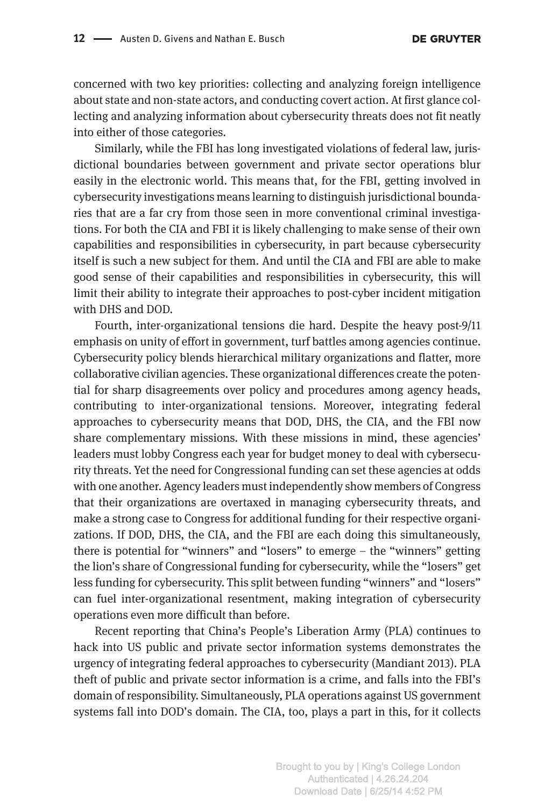concerned with two key priorities: collecting and analyzing foreign intelligence about state and non-state actors, and conducting covert action. At first glance collecting and analyzing information about cybersecurity threats does not fit neatly into either of those categories.

Similarly, while the FBI has long investigated violations of federal law, jurisdictional boundaries between government and private sector operations blur easily in the electronic world. This means that, for the FBI, getting involved in cybersecurity investigations means learning to distinguish jurisdictional boundaries that are a far cry from those seen in more conventional criminal investigations. For both the CIA and FBI it is likely challenging to make sense of their own capabilities and responsibilities in cybersecurity, in part because cybersecurity itself is such a new subject for them. And until the CIA and FBI are able to make good sense of their capabilities and responsibilities in cybersecurity, this will limit their ability to integrate their approaches to post-cyber incident mitigation with DHS and DOD.

Fourth, inter-organizational tensions die hard. Despite the heavy post-9/11 emphasis on unity of effort in government, turf battles among agencies continue. Cybersecurity policy blends hierarchical military organizations and flatter, more collaborative civilian agencies. These organizational differences create the potential for sharp disagreements over policy and procedures among agency heads, contributing to inter-organizational tensions. Moreover, integrating federal approaches to cybersecurity means that DOD, DHS, the CIA, and the FBI now share complementary missions. With these missions in mind, these agencies' leaders must lobby Congress each year for budget money to deal with cybersecurity threats. Yet the need for Congressional funding can set these agencies at odds with one another. Agency leaders must independently show members of Congress that their organizations are overtaxed in managing cybersecurity threats, and make a strong case to Congress for additional funding for their respective organizations. If DOD, DHS, the CIA, and the FBI are each doing this simultaneously, there is potential for "winners" and "losers" to emerge – the "winners" getting the lion's share of Congressional funding for cybersecurity, while the "losers" get less funding for cybersecurity. This split between funding "winners" and "losers" can fuel inter-organizational resentment, making integration of cybersecurity operations even more difficult than before.

Recent reporting that China's People's Liberation Army (PLA) continues to hack into US public and private sector information systems demonstrates the urgency of integrating federal approaches to cybersecurity (Mandiant 2013). PLA theft of public and private sector information is a crime, and falls into the FBI's domain of responsibility. Simultaneously, PLA operations against US government systems fall into DOD's domain. The CIA, too, plays a part in this, for it collects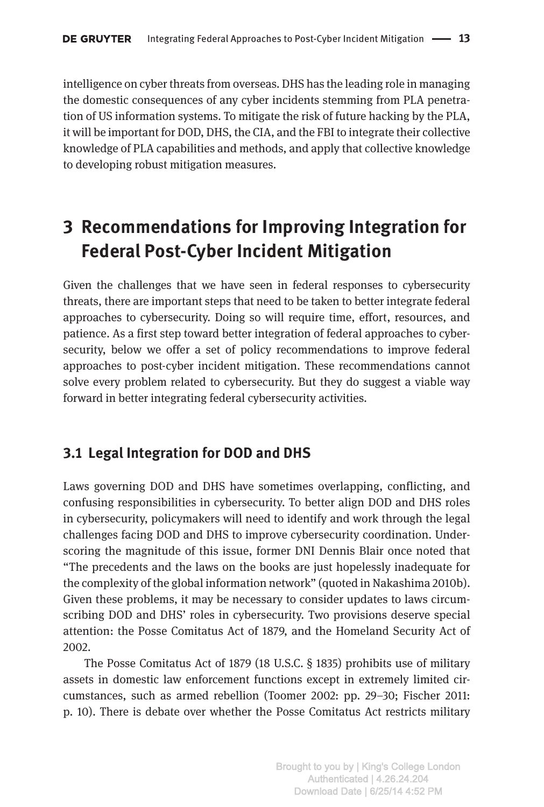intelligence on cyber threats from overseas. DHS has the leading role in managing the domestic consequences of any cyber incidents stemming from PLA penetration of US information systems. To mitigate the risk of future hacking by the PLA, it will be important for DOD, DHS, the CIA, and the FBI to integrate their collective knowledge of PLA capabilities and methods, and apply that collective knowledge to developing robust mitigation measures.

# **3 Recommendations for Improving Integration for Federal Post-Cyber Incident Mitigation**

Given the challenges that we have seen in federal responses to cybersecurity threats, there are important steps that need to be taken to better integrate federal approaches to cybersecurity. Doing so will require time, effort, resources, and patience. As a first step toward better integration of federal approaches to cybersecurity, below we offer a set of policy recommendations to improve federal approaches to post-cyber incident mitigation. These recommendations cannot solve every problem related to cybersecurity. But they do suggest a viable way forward in better integrating federal cybersecurity activities.

### **3.1 Legal Integration for DOD and DHS**

Laws governing DOD and DHS have sometimes overlapping, conflicting, and confusing responsibilities in cybersecurity. To better align DOD and DHS roles in cybersecurity, policymakers will need to identify and work through the legal challenges facing DOD and DHS to improve cybersecurity coordination. Underscoring the magnitude of this issue, former DNI Dennis Blair once noted that "The precedents and the laws on the books are just hopelessly inadequate for the complexity of the global information network" (quoted in Nakashima 2010b). Given these problems, it may be necessary to consider updates to laws circumscribing DOD and DHS' roles in cybersecurity. Two provisions deserve special attention: the Posse Comitatus Act of 1879, and the Homeland Security Act of 2002.

The Posse Comitatus Act of 1879 (18 U.S.C. § 1835) prohibits use of military assets in domestic law enforcement functions except in extremely limited circumstances, such as armed rebellion (Toomer 2002: pp. 29–30; Fischer 2011: p. 10). There is debate over whether the Posse Comitatus Act restricts military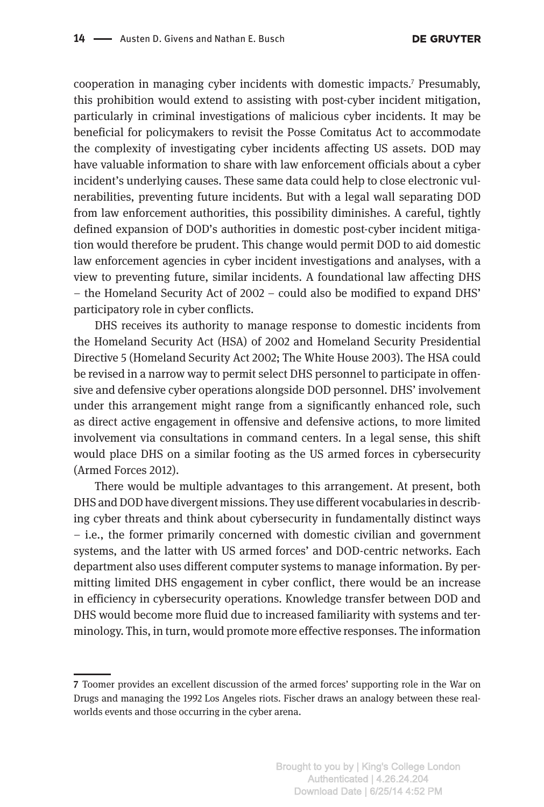cooperation in managing cyber incidents with domestic impacts.7 Presumably, this prohibition would extend to assisting with post-cyber incident mitigation, particularly in criminal investigations of malicious cyber incidents. It may be beneficial for policymakers to revisit the Posse Comitatus Act to accommodate the complexity of investigating cyber incidents affecting US assets. DOD may have valuable information to share with law enforcement officials about a cyber incident's underlying causes. These same data could help to close electronic vulnerabilities, preventing future incidents. But with a legal wall separating DOD from law enforcement authorities, this possibility diminishes. A careful, tightly defined expansion of DOD's authorities in domestic post-cyber incident mitigation would therefore be prudent. This change would permit DOD to aid domestic law enforcement agencies in cyber incident investigations and analyses, with a view to preventing future, similar incidents. A foundational law affecting DHS – the Homeland Security Act of 2002 – could also be modified to expand DHS' participatory role in cyber conflicts.

DHS receives its authority to manage response to domestic incidents from the Homeland Security Act (HSA) of 2002 and Homeland Security Presidential Directive 5 (Homeland Security Act 2002; The White House 2003). The HSA could be revised in a narrow way to permit select DHS personnel to participate in offensive and defensive cyber operations alongside DOD personnel. DHS' involvement under this arrangement might range from a significantly enhanced role, such as direct active engagement in offensive and defensive actions, to more limited involvement via consultations in command centers. In a legal sense, this shift would place DHS on a similar footing as the US armed forces in cybersecurity (Armed Forces 2012).

There would be multiple advantages to this arrangement. At present, both DHS and DOD have divergent missions. They use different vocabularies in describing cyber threats and think about cybersecurity in fundamentally distinct ways – i.e., the former primarily concerned with domestic civilian and government systems, and the latter with US armed forces' and DOD-centric networks. Each department also uses different computer systems to manage information. By permitting limited DHS engagement in cyber conflict, there would be an increase in efficiency in cybersecurity operations. Knowledge transfer between DOD and DHS would become more fluid due to increased familiarity with systems and terminology. This, in turn, would promote more effective responses. The information

**<sup>7</sup>** Toomer provides an excellent discussion of the armed forces' supporting role in the War on Drugs and managing the 1992 Los Angeles riots. Fischer draws an analogy between these realworlds events and those occurring in the cyber arena.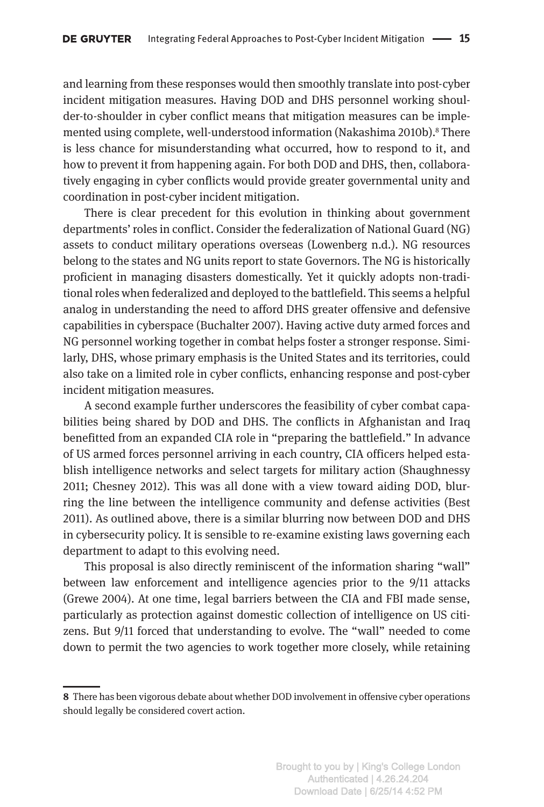and learning from these responses would then smoothly translate into post-cyber incident mitigation measures. Having DOD and DHS personnel working shoulder-to-shoulder in cyber conflict means that mitigation measures can be implemented using complete, well-understood information (Nakashima 2010b).<sup>8</sup> There is less chance for misunderstanding what occurred, how to respond to it, and how to prevent it from happening again. For both DOD and DHS, then, collaboratively engaging in cyber conflicts would provide greater governmental unity and coordination in post-cyber incident mitigation.

There is clear precedent for this evolution in thinking about government departments' roles in conflict. Consider the federalization of National Guard (NG) assets to conduct military operations overseas (Lowenberg n.d.). NG resources belong to the states and NG units report to state Governors. The NG is historically proficient in managing disasters domestically. Yet it quickly adopts non-traditional roles when federalized and deployed to the battlefield. This seems a helpful analog in understanding the need to afford DHS greater offensive and defensive capabilities in cyberspace (Buchalter 2007). Having active duty armed forces and NG personnel working together in combat helps foster a stronger response. Similarly, DHS, whose primary emphasis is the United States and its territories, could also take on a limited role in cyber conflicts, enhancing response and post-cyber incident mitigation measures.

A second example further underscores the feasibility of cyber combat capabilities being shared by DOD and DHS. The conflicts in Afghanistan and Iraq benefitted from an expanded CIA role in "preparing the battlefield." In advance of US armed forces personnel arriving in each country, CIA officers helped establish intelligence networks and select targets for military action (Shaughnessy 2011; Chesney 2012). This was all done with a view toward aiding DOD, blurring the line between the intelligence community and defense activities (Best 2011). As outlined above, there is a similar blurring now between DOD and DHS in cybersecurity policy. It is sensible to re-examine existing laws governing each department to adapt to this evolving need.

This proposal is also directly reminiscent of the information sharing "wall" between law enforcement and intelligence agencies prior to the 9/11 attacks (Grewe 2004). At one time, legal barriers between the CIA and FBI made sense, particularly as protection against domestic collection of intelligence on US citizens. But 9/11 forced that understanding to evolve. The "wall" needed to come down to permit the two agencies to work together more closely, while retaining

**<sup>8</sup>** There has been vigorous debate about whether DOD involvement in offensive cyber operations should legally be considered covert action.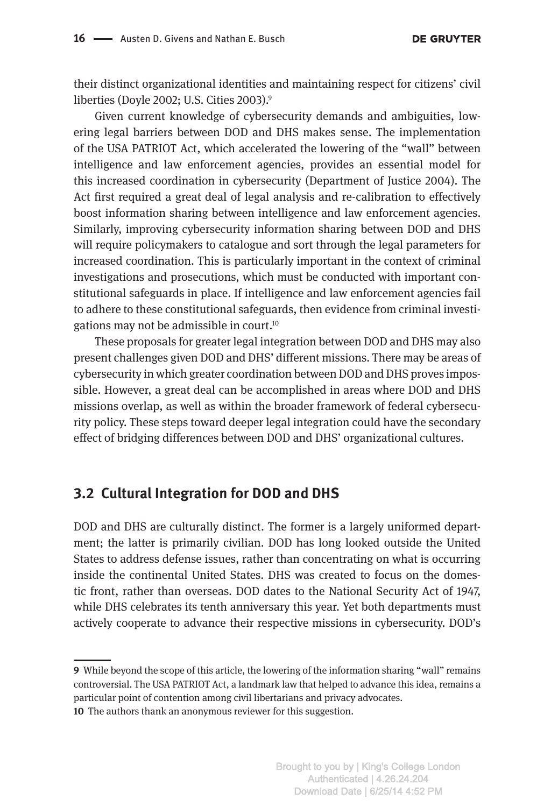their distinct organizational identities and maintaining respect for citizens' civil liberties (Doyle 2002; U.S. Cities 2003).<sup>9</sup>

Given current knowledge of cybersecurity demands and ambiguities, lowering legal barriers between DOD and DHS makes sense. The implementation of the USA PATRIOT Act, which accelerated the lowering of the "wall" between intelligence and law enforcement agencies, provides an essential model for this increased coordination in cybersecurity (Department of Justice 2004). The Act first required a great deal of legal analysis and re-calibration to effectively boost information sharing between intelligence and law enforcement agencies. Similarly, improving cybersecurity information sharing between DOD and DHS will require policymakers to catalogue and sort through the legal parameters for increased coordination. This is particularly important in the context of criminal investigations and prosecutions, which must be conducted with important constitutional safeguards in place. If intelligence and law enforcement agencies fail to adhere to these constitutional safeguards, then evidence from criminal investigations may not be admissible in court.10

These proposals for greater legal integration between DOD and DHS may also present challenges given DOD and DHS' different missions. There may be areas of cybersecurity in which greater coordination between DOD and DHS proves impossible. However, a great deal can be accomplished in areas where DOD and DHS missions overlap, as well as within the broader framework of federal cybersecurity policy. These steps toward deeper legal integration could have the secondary effect of bridging differences between DOD and DHS' organizational cultures.

### **3.2 Cultural Integration for DOD and DHS**

DOD and DHS are culturally distinct. The former is a largely uniformed department; the latter is primarily civilian. DOD has long looked outside the United States to address defense issues, rather than concentrating on what is occurring inside the continental United States. DHS was created to focus on the domestic front, rather than overseas. DOD dates to the National Security Act of 1947, while DHS celebrates its tenth anniversary this year. Yet both departments must actively cooperate to advance their respective missions in cybersecurity. DOD's

**<sup>9</sup>** While beyond the scope of this article, the lowering of the information sharing "wall" remains controversial. The USA PATRIOT Act, a landmark law that helped to advance this idea, remains a particular point of contention among civil libertarians and privacy advocates.

**<sup>10</sup>** The authors thank an anonymous reviewer for this suggestion.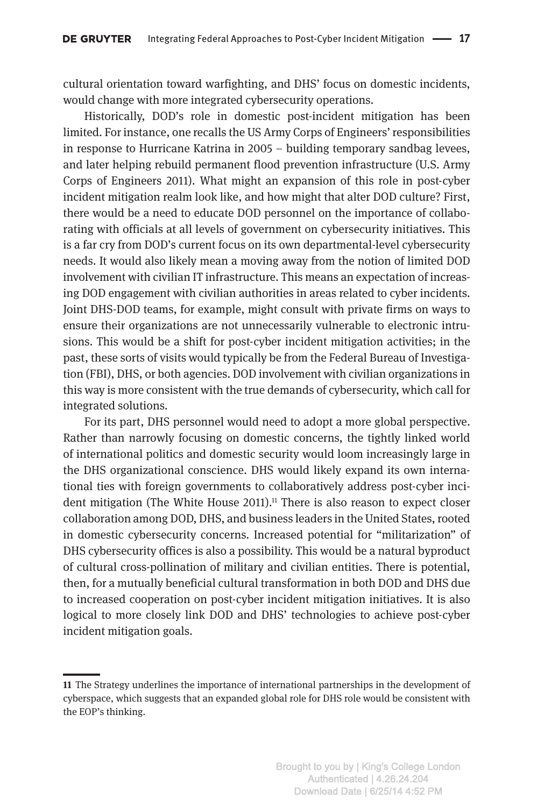cultural orientation toward warfighting, and DHS' focus on domestic incidents, would change with more integrated cybersecurity operations.

Historically, DOD's role in domestic post-incident mitigation has been limited. For instance, one recalls the US Army Corps of Engineers' responsibilities in response to Hurricane Katrina in 2005 – building temporary sandbag levees, and later helping rebuild permanent flood prevention infrastructure (U.S. Army Corps of Engineers 2011). What might an expansion of this role in post-cyber incident mitigation realm look like, and how might that alter DOD culture? First, there would be a need to educate DOD personnel on the importance of collaborating with officials at all levels of government on cybersecurity initiatives. This is a far cry from DOD's current focus on its own departmental-level cybersecurity needs. It would also likely mean a moving away from the notion of limited DOD involvement with civilian IT infrastructure. This means an expectation of increasing DOD engagement with civilian authorities in areas related to cyber incidents. Joint DHS-DOD teams, for example, might consult with private firms on ways to ensure their organizations are not unnecessarily vulnerable to electronic intrusions. This would be a shift for post-cyber incident mitigation activities; in the past, these sorts of visits would typically be from the Federal Bureau of Investigation (FBI), DHS, or both agencies. DOD involvement with civilian organizations in this way is more consistent with the true demands of cybersecurity, which call for integrated solutions.

For its part, DHS personnel would need to adopt a more global perspective. Rather than narrowly focusing on domestic concerns, the tightly linked world of international politics and domestic security would loom increasingly large in the DHS organizational conscience. DHS would likely expand its own international ties with foreign governments to collaboratively address post-cyber incident mitigation (The White House  $2011$ ).<sup>11</sup> There is also reason to expect closer collaboration among DOD, DHS, and business leaders in the United States, rooted in domestic cybersecurity concerns. Increased potential for "militarization" of DHS cybersecurity offices is also a possibility. This would be a natural byproduct of cultural cross-pollination of military and civilian entities. There is potential, then, for a mutually beneficial cultural transformation in both DOD and DHS due to increased cooperation on post-cyber incident mitigation initiatives. It is also logical to more closely link DOD and DHS' technologies to achieve post-cyber incident mitigation goals.

**<sup>11</sup>** The Strategy underlines the importance of international partnerships in the development of cyberspace, which suggests that an expanded global role for DHS role would be consistent with the EOP's thinking.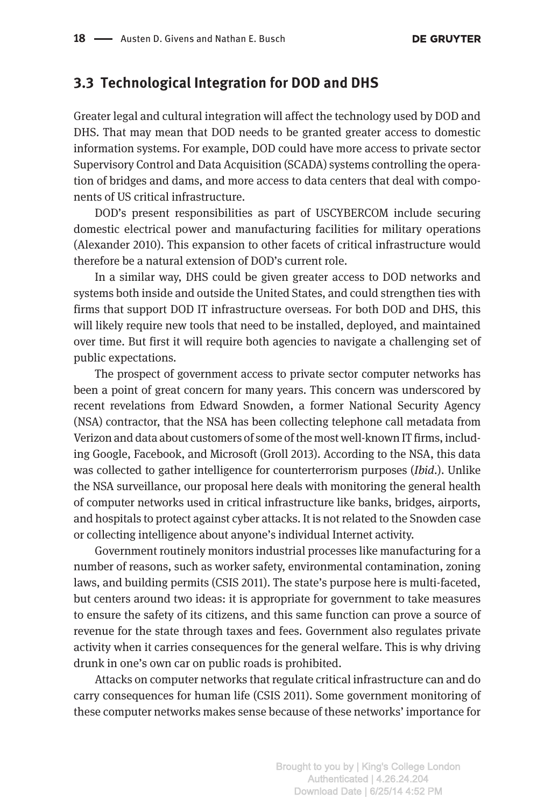### **3.3 Technological Integration for DOD and DHS**

Greater legal and cultural integration will affect the technology used by DOD and DHS. That may mean that DOD needs to be granted greater access to domestic information systems. For example, DOD could have more access to private sector Supervisory Control and Data Acquisition (SCADA) systems controlling the operation of bridges and dams, and more access to data centers that deal with components of US critical infrastructure.

DOD's present responsibilities as part of USCYBERCOM include securing domestic electrical power and manufacturing facilities for military operations (Alexander 2010). This expansion to other facets of critical infrastructure would therefore be a natural extension of DOD's current role.

In a similar way, DHS could be given greater access to DOD networks and systems both inside and outside the United States, and could strengthen ties with firms that support DOD IT infrastructure overseas. For both DOD and DHS, this will likely require new tools that need to be installed, deployed, and maintained over time. But first it will require both agencies to navigate a challenging set of public expectations.

The prospect of government access to private sector computer networks has been a point of great concern for many years. This concern was underscored by recent revelations from Edward Snowden, a former National Security Agency (NSA) contractor, that the NSA has been collecting telephone call metadata from Verizon and data about customers of some of the most well-known IT firms, including Google, Facebook, and Microsoft (Groll 2013). According to the NSA, this data was collected to gather intelligence for counterterrorism purposes (*Ibid*.). Unlike the NSA surveillance, our proposal here deals with monitoring the general health of computer networks used in critical infrastructure like banks, bridges, airports, and hospitals to protect against cyber attacks. It is not related to the Snowden case or collecting intelligence about anyone's individual Internet activity.

Government routinely monitors industrial processes like manufacturing for a number of reasons, such as worker safety, environmental contamination, zoning laws, and building permits (CSIS 2011). The state's purpose here is multi-faceted, but centers around two ideas: it is appropriate for government to take measures to ensure the safety of its citizens, and this same function can prove a source of revenue for the state through taxes and fees. Government also regulates private activity when it carries consequences for the general welfare. This is why driving drunk in one's own car on public roads is prohibited.

Attacks on computer networks that regulate critical infrastructure can and do carry consequences for human life (CSIS 2011). Some government monitoring of these computer networks makes sense because of these networks' importance for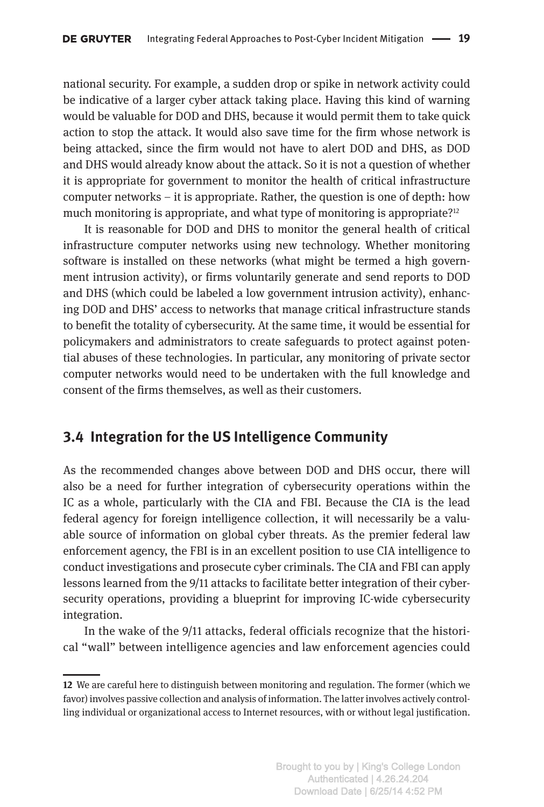national security. For example, a sudden drop or spike in network activity could be indicative of a larger cyber attack taking place. Having this kind of warning would be valuable for DOD and DHS, because it would permit them to take quick action to stop the attack. It would also save time for the firm whose network is being attacked, since the firm would not have to alert DOD and DHS, as DOD and DHS would already know about the attack. So it is not a question of whether it is appropriate for government to monitor the health of critical infrastructure computer networks – it is appropriate. Rather, the question is one of depth: how much monitoring is appropriate, and what type of monitoring is appropriate?<sup>12</sup>

It is reasonable for DOD and DHS to monitor the general health of critical infrastructure computer networks using new technology. Whether monitoring software is installed on these networks (what might be termed a high government intrusion activity), or firms voluntarily generate and send reports to DOD and DHS (which could be labeled a low government intrusion activity), enhancing DOD and DHS' access to networks that manage critical infrastructure stands to benefit the totality of cybersecurity. At the same time, it would be essential for policymakers and administrators to create safeguards to protect against potential abuses of these technologies. In particular, any monitoring of private sector computer networks would need to be undertaken with the full knowledge and consent of the firms themselves, as well as their customers.

### **3.4 Integration for the US Intelligence Community**

As the recommended changes above between DOD and DHS occur, there will also be a need for further integration of cybersecurity operations within the IC as a whole, particularly with the CIA and FBI. Because the CIA is the lead federal agency for foreign intelligence collection, it will necessarily be a valuable source of information on global cyber threats. As the premier federal law enforcement agency, the FBI is in an excellent position to use CIA intelligence to conduct investigations and prosecute cyber criminals. The CIA and FBI can apply lessons learned from the 9/11 attacks to facilitate better integration of their cybersecurity operations, providing a blueprint for improving IC-wide cybersecurity integration.

In the wake of the 9/11 attacks, federal officials recognize that the historical "wall" between intelligence agencies and law enforcement agencies could

**<sup>12</sup>** We are careful here to distinguish between monitoring and regulation. The former (which we favor) involves passive collection and analysis of information. The latter involves actively controlling individual or organizational access to Internet resources, with or without legal justification.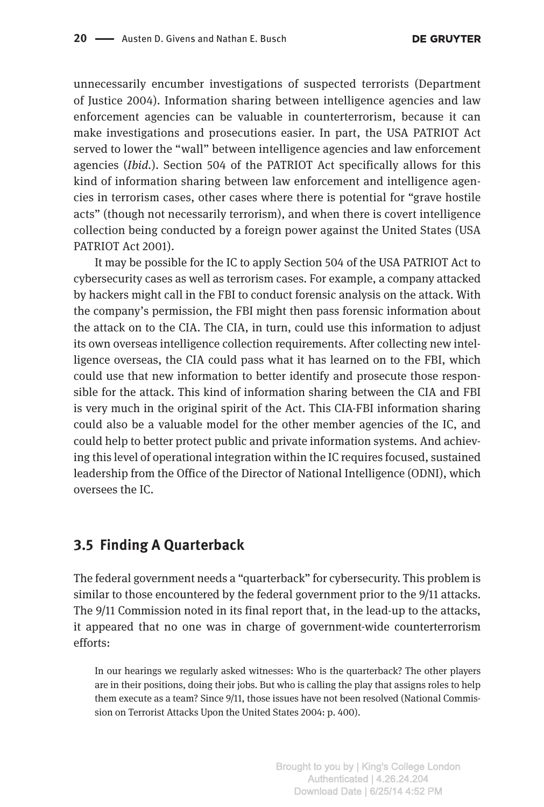unnecessarily encumber investigations of suspected terrorists (Department of Justice 2004). Information sharing between intelligence agencies and law enforcement agencies can be valuable in counterterrorism, because it can make investigations and prosecutions easier. In part, the USA PATRIOT Act served to lower the "wall" between intelligence agencies and law enforcement agencies (*Ibid.*). Section 504 of the PATRIOT Act specifically allows for this kind of information sharing between law enforcement and intelligence agencies in terrorism cases, other cases where there is potential for "grave hostile acts" (though not necessarily terrorism), and when there is covert intelligence collection being conducted by a foreign power against the United States (USA PATRIOT Act 2001).

It may be possible for the IC to apply Section 504 of the USA PATRIOT Act to cybersecurity cases as well as terrorism cases. For example, a company attacked by hackers might call in the FBI to conduct forensic analysis on the attack. With the company's permission, the FBI might then pass forensic information about the attack on to the CIA. The CIA, in turn, could use this information to adjust its own overseas intelligence collection requirements. After collecting new intelligence overseas, the CIA could pass what it has learned on to the FBI, which could use that new information to better identify and prosecute those responsible for the attack. This kind of information sharing between the CIA and FBI is very much in the original spirit of the Act. This CIA-FBI information sharing could also be a valuable model for the other member agencies of the IC, and could help to better protect public and private information systems. And achieving this level of operational integration within the IC requires focused, sustained leadership from the Office of the Director of National Intelligence (ODNI), which oversees the IC.

#### **3.5 Finding A Quarterback**

The federal government needs a "quarterback" for cybersecurity. This problem is similar to those encountered by the federal government prior to the 9/11 attacks. The 9/11 Commission noted in its final report that, in the lead-up to the attacks, it appeared that no one was in charge of government-wide counterterrorism efforts:

In our hearings we regularly asked witnesses: Who is the quarterback? The other players are in their positions, doing their jobs. But who is calling the play that assigns roles to help them execute as a team? Since 9/11, those issues have not been resolved (National Commission on Terrorist Attacks Upon the United States 2004: p. 400).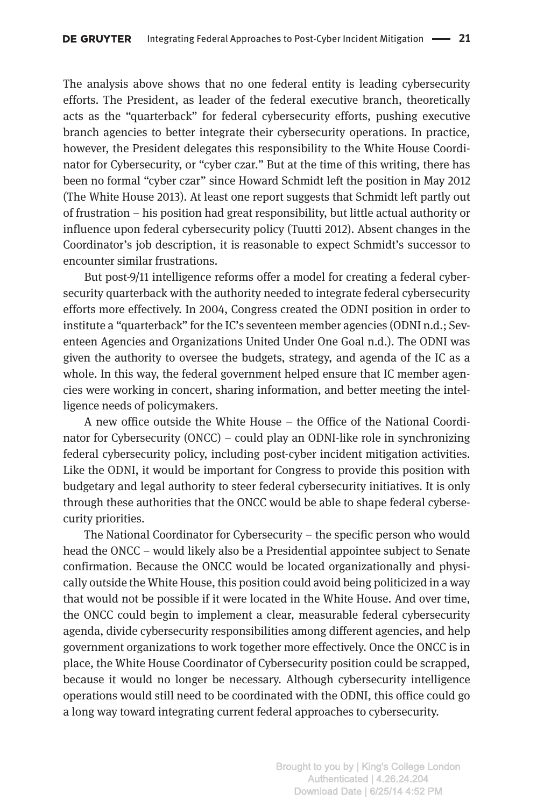The analysis above shows that no one federal entity is leading cybersecurity efforts. The President, as leader of the federal executive branch, theoretically acts as the "quarterback" for federal cybersecurity efforts, pushing executive branch agencies to better integrate their cybersecurity operations. In practice, however, the President delegates this responsibility to the White House Coordinator for Cybersecurity, or "cyber czar." But at the time of this writing, there has been no formal "cyber czar" since Howard Schmidt left the position in May 2012 (The White House 2013). At least one report suggests that Schmidt left partly out of frustration – his position had great responsibility, but little actual authority or influence upon federal cybersecurity policy (Tuutti 2012). Absent changes in the Coordinator's job description, it is reasonable to expect Schmidt's successor to encounter similar frustrations.

But post-9/11 intelligence reforms offer a model for creating a federal cybersecurity quarterback with the authority needed to integrate federal cybersecurity efforts more effectively. In 2004, Congress created the ODNI position in order to institute a "quarterback" for the IC's seventeen member agencies (ODNI n.d.; Seventeen Agencies and Organizations United Under One Goal n.d.). The ODNI was given the authority to oversee the budgets, strategy, and agenda of the IC as a whole. In this way, the federal government helped ensure that IC member agencies were working in concert, sharing information, and better meeting the intelligence needs of policymakers.

A new office outside the White House – the Office of the National Coordinator for Cybersecurity (ONCC) – could play an ODNI-like role in synchronizing federal cybersecurity policy, including post-cyber incident mitigation activities. Like the ODNI, it would be important for Congress to provide this position with budgetary and legal authority to steer federal cybersecurity initiatives. It is only through these authorities that the ONCC would be able to shape federal cybersecurity priorities.

The National Coordinator for Cybersecurity – the specific person who would head the ONCC – would likely also be a Presidential appointee subject to Senate confirmation. Because the ONCC would be located organizationally and physically outside the White House, this position could avoid being politicized in a way that would not be possible if it were located in the White House. And over time, the ONCC could begin to implement a clear, measurable federal cybersecurity agenda, divide cybersecurity responsibilities among different agencies, and help government organizations to work together more effectively. Once the ONCC is in place, the White House Coordinator of Cybersecurity position could be scrapped, because it would no longer be necessary. Although cybersecurity intelligence operations would still need to be coordinated with the ODNI, this office could go a long way toward integrating current federal approaches to cybersecurity.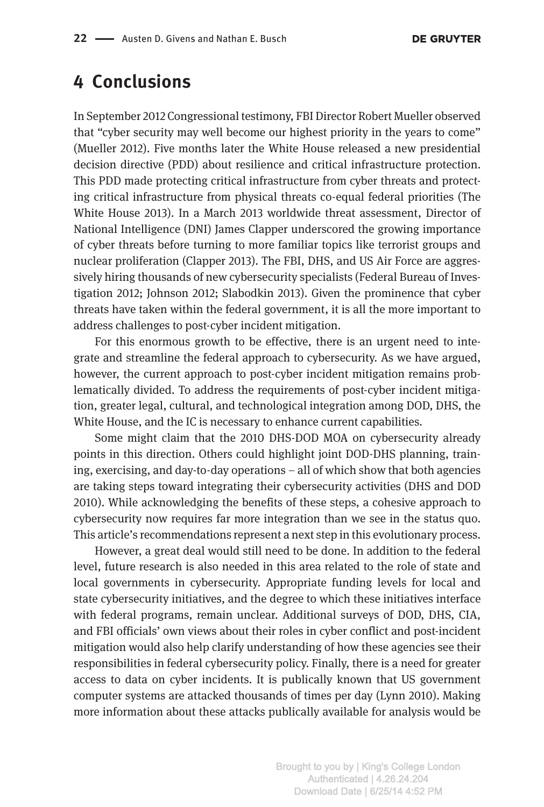## **4 Conclusions**

In September 2012 Congressional testimony, FBI Director Robert Mueller observed that "cyber security may well become our highest priority in the years to come" (Mueller 2012). Five months later the White House released a new presidential decision directive (PDD) about resilience and critical infrastructure protection. This PDD made protecting critical infrastructure from cyber threats and protecting critical infrastructure from physical threats co-equal federal priorities (The White House 2013). In a March 2013 worldwide threat assessment, Director of National Intelligence (DNI) James Clapper underscored the growing importance of cyber threats before turning to more familiar topics like terrorist groups and nuclear proliferation (Clapper 2013). The FBI, DHS, and US Air Force are aggressively hiring thousands of new cybersecurity specialists (Federal Bureau of Investigation 2012; Johnson 2012; Slabodkin 2013). Given the prominence that cyber threats have taken within the federal government, it is all the more important to address challenges to post-cyber incident mitigation.

For this enormous growth to be effective, there is an urgent need to integrate and streamline the federal approach to cybersecurity. As we have argued, however, the current approach to post-cyber incident mitigation remains problematically divided. To address the requirements of post-cyber incident mitigation, greater legal, cultural, and technological integration among DOD, DHS, the White House, and the IC is necessary to enhance current capabilities.

Some might claim that the 2010 DHS-DOD MOA on cybersecurity already points in this direction. Others could highlight joint DOD-DHS planning, training, exercising, and day-to-day operations – all of which show that both agencies are taking steps toward integrating their cybersecurity activities (DHS and DOD 2010). While acknowledging the benefits of these steps, a cohesive approach to cybersecurity now requires far more integration than we see in the status quo. This article's recommendations represent a next step in this evolutionary process.

However, a great deal would still need to be done. In addition to the federal level, future research is also needed in this area related to the role of state and local governments in cybersecurity. Appropriate funding levels for local and state cybersecurity initiatives, and the degree to which these initiatives interface with federal programs, remain unclear. Additional surveys of DOD, DHS, CIA, and FBI officials' own views about their roles in cyber conflict and post-incident mitigation would also help clarify understanding of how these agencies see their responsibilities in federal cybersecurity policy. Finally, there is a need for greater access to data on cyber incidents. It is publically known that US government computer systems are attacked thousands of times per day (Lynn 2010). Making more information about these attacks publically available for analysis would be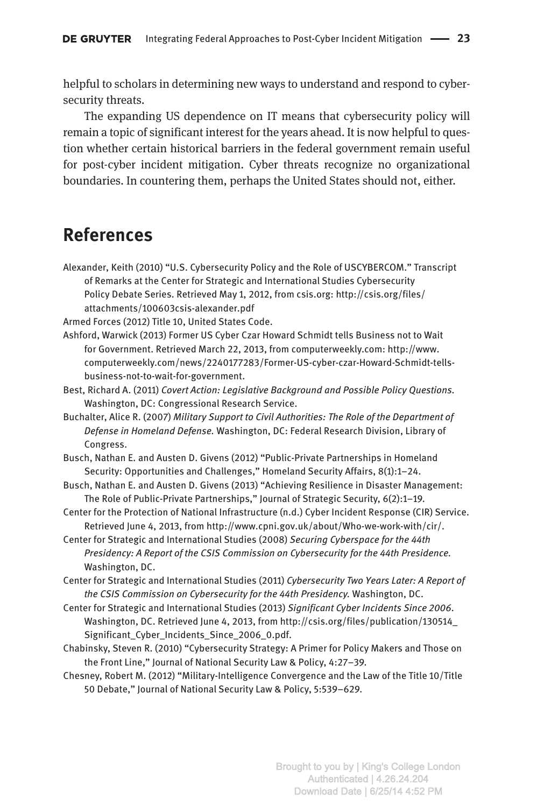helpful to scholars in determining new ways to understand and respond to cybersecurity threats.

The expanding US dependence on IT means that cybersecurity policy will remain a topic of significant interest for the years ahead. It is now helpful to question whether certain historical barriers in the federal government remain useful for post-cyber incident mitigation. Cyber threats recognize no organizational boundaries. In countering them, perhaps the United States should not, either.

### **References**

Alexander, Keith (2010) "U.S. Cybersecurity Policy and the Role of USCYBERCOM." Transcript of Remarks at the Center for Strategic and International Studies Cybersecurity Policy Debate Series. Retrieved May 1, 2012, from csis.org: [http://csis.org/files/](http://csis.org/files/attachments/100603csis-alexander.pdf) [attachments/100603csis-alexander.pdf](http://csis.org/files/attachments/100603csis-alexander.pdf)

Armed Forces (2012) Title 10, United States Code.

Ashford, Warwick (2013) Former US Cyber Czar Howard Schmidt tells Business not to Wait for Government. Retrieved March 22, 2013, from computerweekly.com: [http://www.](http://www.computerweekly.com/news/2240177283/Former-US-cyber-czar-Howard-Schmidt-tells-business-not-to-wait-for-government) [computerweekly.com/news/2240177283/Former-US-cyber-czar-Howard-Schmidt-tells](http://www.computerweekly.com/news/2240177283/Former-US-cyber-czar-Howard-Schmidt-tells-business-not-to-wait-for-government)[business-not-to-wait-for-government.](http://www.computerweekly.com/news/2240177283/Former-US-cyber-czar-Howard-Schmidt-tells-business-not-to-wait-for-government)

Best, Richard A. (2011) *Covert Action: Legislative Background and Possible Policy Questions.* Washington, DC: Congressional Research Service.

Buchalter, Alice R. (2007) *Military Support to Civil Authorities: The Role of the Department of Defense in Homeland Defense.* Washington, DC: Federal Research Division, Library of Congress.

Busch, Nathan E. and Austen D. Givens (2012) "Public-Private Partnerships in Homeland Security: Opportunities and Challenges," Homeland Security Affairs, 8(1):1-24.

- Busch, Nathan E. and Austen D. Givens (2013) "Achieving Resilience in Disaster Management: The Role of Public-Private Partnerships," Journal of Strategic Security, 6(2):1–19.
- Center for the Protection of National Infrastructure (n.d.) Cyber Incident Response (CIR) Service. Retrieved June 4, 2013, from [http://www.cpni.gov.uk/about/Who-we-work-with/cir/.](http://www.cpni.gov.uk/about/Who-we-work-with/cir/)
- Center for Strategic and International Studies (2008) *Securing Cyberspace for the 44th Presidency: A Report of the CSIS Commission on Cybersecurity for the 44th Presidence.* Washington, DC.

Center for Strategic and International Studies (2011) *Cybersecurity Two Years Later: A Report of the CSIS Commission on Cybersecurity for the 44th Presidency.* Washington, DC.

- Center for Strategic and International Studies (2013) *Significant Cyber Incidents Since 2006*. Washington, DC. Retrieved June 4, 2013, from [http://csis.org/files/publication/130514\\_](http://csis.org/files/publication/130514_Significant_Cyber_Incidents_Since_2006_0.pdf) [Significant\\_Cyber\\_Incidents\\_Since\\_2006\\_0.pdf](http://csis.org/files/publication/130514_Significant_Cyber_Incidents_Since_2006_0.pdf).
- Chabinsky, Steven R. (2010) "Cybersecurity Strategy: A Primer for Policy Makers and Those on the Front Line," Journal of National Security Law & Policy, 4:27–39.
- Chesney, Robert M. (2012) "Military-Intelligence Convergence and the Law of the Title 10/Title 50 Debate," Journal of National Security Law & Policy, 5:539–629.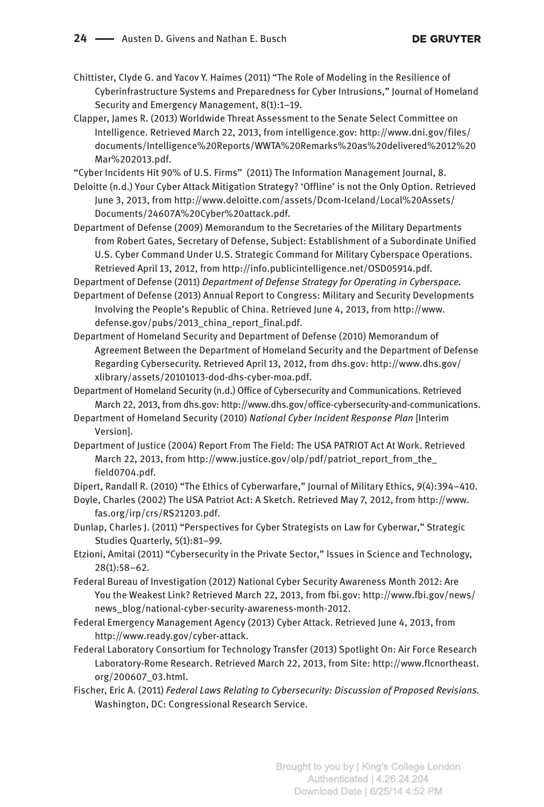Chittister, Clyde G. and Yacov Y. Haimes (2011) "The Role of Modeling in the Resilience of Cyberinfrastructure Systems and Preparedness for Cyber Intrusions," Journal of Homeland Security and Emergency Management, 8(1):1–19.

Clapper, James R. (2013) Worldwide Threat Assessment to the Senate Select Committee on Intelligence. Retrieved March 22, 2013, from intelligence.gov: [http://www.dni.gov/files/](http://www.dni.gov/files/documents/Intelligence%20Reports/WWTA%20Remarks%20as%20delivered%2012%20Mar%202013.pdf) [documents/Intelligence%20Reports/WWTA%20Remarks%20as%20delivered%2012%20](http://www.dni.gov/files/documents/Intelligence%20Reports/WWTA%20Remarks%20as%20delivered%2012%20Mar%202013.pdf) [Mar%202013.pdf](http://www.dni.gov/files/documents/Intelligence%20Reports/WWTA%20Remarks%20as%20delivered%2012%20Mar%202013.pdf).

"Cyber Incidents Hit 90% of U.S. Firms" (2011) The Information Management Journal, 8.

Deloitte (n.d.) Your Cyber Attack Mitigation Strategy? 'Offline' is not the Only Option. Retrieved June 3, 2013, from [http://www.deloitte.com/assets/Dcom-Iceland/Local%20Assets/](http://www.deloitte.com/assets/Dcom-Iceland/Local%20Assets/Documents/24607A%20Cyber%20attack.pdf) [Documents/24607A%20Cyber%20attack.pdf](http://www.deloitte.com/assets/Dcom-Iceland/Local%20Assets/Documents/24607A%20Cyber%20attack.pdf).

Department of Defense (2009) Memorandum to the Secretaries of the Military Departments from Robert Gates, Secretary of Defense, Subject: Establishment of a Subordinate Unified U.S. Cyber Command Under U.S. Strategic Command for Military Cyberspace Operations. Retrieved April 13, 2012, from <http://info.publicintelligence.net/OSD05914.pdf>.

Department of Defense (2011) *Department of Defense Strategy for Operating in Cyberspace.* Department of Defense (2013) Annual Report to Congress: Military and Security Developments

Involving the People's Republic of China. Retrieved June 4, 2013, from [http://www.](http://www.defense.gov/pubs/2013_china_report_final.pdf) [defense.gov/pubs/2013\\_china\\_report\\_final.pdf](http://www.defense.gov/pubs/2013_china_report_final.pdf).

- Department of Homeland Security and Department of Defense (2010) Memorandum of Agreement Between the Department of Homeland Security and the Department of Defense Regarding Cybersecurity. Retrieved April 13, 2012, from dhs.gov: [http://www.dhs.gov/](http://www.dhs.gov/xlibrary/assets/20101013-dod-dhs-cyber-moa.pdf) [xlibrary/assets/20101013-dod-dhs-cyber-moa.pdf.](http://www.dhs.gov/xlibrary/assets/20101013-dod-dhs-cyber-moa.pdf)
- Department of Homeland Security (n.d.) Office of Cybersecurity and Communications. Retrieved March 22, 2013, from dhs.gov: <http://www.dhs.gov/office-cybersecurity-and-communications>.
- Department of Homeland Security (2010) *National Cyber Incident Response Plan* [Interim Version].
- Department of Justice (2004) Report From The Field: The USA PATRIOT Act At Work. Retrieved March 22, 2013, from [http://www.justice.gov/olp/pdf/patriot\\_report\\_from\\_the\\_](http://www.justice.gov/olp/pdf/patriot_report_from_the_field0704.pdf) [field0704.pdf.](http://www.justice.gov/olp/pdf/patriot_report_from_the_field0704.pdf)

Dipert, Randall R. (2010) "The Ethics of Cyberwarfare," Journal of Military Ethics, 9(4):394–410.

- Doyle, Charles (2002) The USA Patriot Act: A Sketch. Retrieved May 7, 2012, from [http://www.](http://www.fas.org/irp/crs/RS21203.pdf) [fas.org/irp/crs/RS21203.pdf.](http://www.fas.org/irp/crs/RS21203.pdf)
- Dunlap, Charles J. (2011) "Perspectives for Cyber Strategists on Law for Cyberwar," Strategic Studies Quarterly, 5(1):81–99.
- Etzioni, Amitai (2011) "Cybersecurity in the Private Sector," Issues in Science and Technology, 28(1):58–62.
- Federal Bureau of Investigation (2012) National Cyber Security Awareness Month 2012: Are You the Weakest Link? Retrieved March 22, 2013, from fbi.gov: [http://www.fbi.gov/news/](http://www.fbi.gov/news/news_blog/national-cyber-security-awareness-month-2012) [news\\_blog/national-cyber-security-awareness-month-2012](http://www.fbi.gov/news/news_blog/national-cyber-security-awareness-month-2012).
- Federal Emergency Management Agency (2013) Cyber Attack. Retrieved June 4, 2013, from [http://www.ready.gov/cyber-attack.](http://www.ready.gov/cyber-attack)
- Federal Laboratory Consortium for Technology Transfer (2013) Spotlight On: Air Force Research Laboratory-Rome Research. Retrieved March 22, 2013, from Site: [http://www.flcnortheast.](http://www.flcnortheast.org/200607_03.html) [org/200607\\_03.html.](http://www.flcnortheast.org/200607_03.html)
- Fischer, Eric A. (2011) *Federal Laws Relating to Cybersecurity: Discussion of Proposed Revisions.* Washington, DC: Congressional Research Service.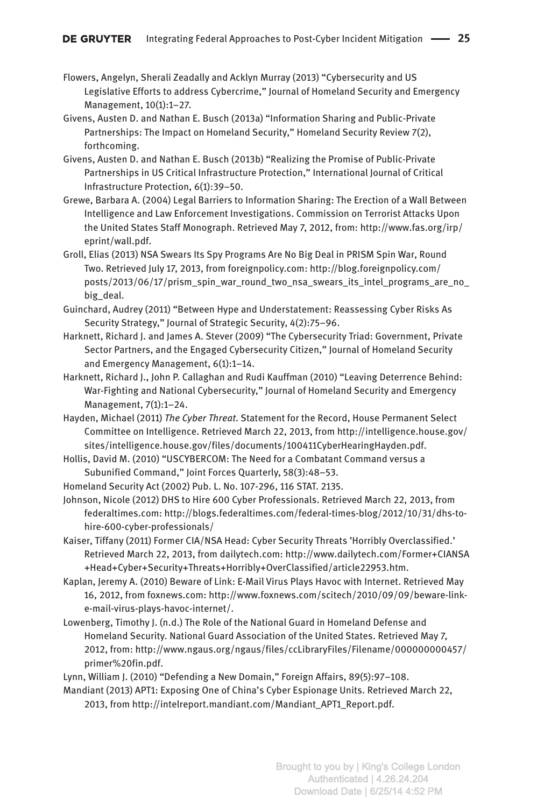- Flowers, Angelyn, Sherali Zeadally and Acklyn Murray (2013) "Cybersecurity and US Legislative Efforts to address Cybercrime," Journal of Homeland Security and Emergency Management, 10(1):1–27.
- Givens, Austen D. and Nathan E. Busch (2013a) "Information Sharing and Public-Private Partnerships: The Impact on Homeland Security," Homeland Security Review 7(2), forthcoming.
- Givens, Austen D. and Nathan E. Busch (2013b) "Realizing the Promise of Public-Private Partnerships in US Critical Infrastructure Protection," International Journal of Critical Infrastructure Protection, 6(1):39–50.
- Grewe, Barbara A. (2004) Legal Barriers to Information Sharing: The Erection of a Wall Between Intelligence and Law Enforcement Investigations. Commission on Terrorist Attacks Upon the United States Staff Monograph. Retrieved May 7, 2012, from: [http://www.fas.org/irp/](http://www.fas.org/irp/eprint/wall.pdf) [eprint/wall.pdf](http://www.fas.org/irp/eprint/wall.pdf).
- Groll, Elias (2013) NSA Swears Its Spy Programs Are No Big Deal in PRISM Spin War, Round Two. Retrieved July 17, 2013, from foreignpolicy.com: [http://blog.foreignpolicy.com/](http://blog.foreignpolicy.com/posts/2013/06/17/prism_spin_war_round_two_nsa_swears_its_intel_programs_are_no_big_deal) [posts/2013/06/17/prism\\_spin\\_war\\_round\\_two\\_nsa\\_swears\\_its\\_intel\\_programs\\_are\\_no\\_](http://blog.foreignpolicy.com/posts/2013/06/17/prism_spin_war_round_two_nsa_swears_its_intel_programs_are_no_big_deal) [big\\_deal](http://blog.foreignpolicy.com/posts/2013/06/17/prism_spin_war_round_two_nsa_swears_its_intel_programs_are_no_big_deal).
- Guinchard, Audrey (2011) "Between Hype and Understatement: Reassessing Cyber Risks As Security Strategy," Journal of Strategic Security, 4(2):75–96.
- Harknett, Richard J. and James A. Stever (2009) "The Cybersecurity Triad: Government, Private Sector Partners, and the Engaged Cybersecurity Citizen," Journal of Homeland Security and Emergency Management, 6(1):1–14.
- Harknett, Richard J., John P. Callaghan and Rudi Kauffman (2010) "Leaving Deterrence Behind: War-Fighting and National Cybersecurity," Journal of Homeland Security and Emergency Management, 7(1):1–24.
- Hayden, Michael (2011) *The Cyber Threat*. Statement for the Record, House Permanent Select Committee on Intelligence. Retrieved March 22, 2013, from [http://intelligence.house.gov/](http://intelligence.house.gov/sites/intelligence.house.gov/files/documents/100411CyberHearingHayden.pdf) [sites/intelligence.house.gov/files/documents/100411CyberHearingHayden.pdf](http://intelligence.house.gov/sites/intelligence.house.gov/files/documents/100411CyberHearingHayden.pdf).
- Hollis, David M. (2010) "USCYBERCOM: The Need for a Combatant Command versus a Subunified Command," Joint Forces Quarterly, 58(3):48–53.
- Homeland Security Act (2002) Pub. L. No. 107-296, 116 STAT. 2135.
- Johnson, Nicole (2012) DHS to Hire 600 Cyber Professionals. Retrieved March 22, 2013, from federaltimes.com: [http://blogs.federaltimes.com/federal-times-blog/2012/10/31/dhs-to](http://blogs.federaltimes.com/federal-times-blog/2012/10/31/dhs-to-hire-600-cyber-professionals/)[hire-600-cyber-professionals/](http://blogs.federaltimes.com/federal-times-blog/2012/10/31/dhs-to-hire-600-cyber-professionals/)
- Kaiser, Tiffany (2011) Former CIA/NSA Head: Cyber Security Threats 'Horribly Overclassified.' Retrieved March 22, 2013, from dailytech.com: [http://www.dailytech.com/Former+CIANSA](http://www.dailytech.com/Former+CIANSA+Head+Cyber+Security+Threats+Horribly+OverClassified/article22953.htm) [+Head+Cyber+Security+Threats+Horribly+OverClassified/article22953.htm](http://www.dailytech.com/Former+CIANSA+Head+Cyber+Security+Threats+Horribly+OverClassified/article22953.htm).
- Kaplan, Jeremy A. (2010) Beware of Link: E-Mail Virus Plays Havoc with Internet. Retrieved May 16, 2012, from foxnews.com: [http://www.foxnews.com/scitech/2010/09/09/beware-link](http://www.foxnews.com/scitech/2010/09/09/beware-link-e-mail-virus-plays-havoc-internet/)[e-mail-virus-plays-havoc-internet/.](http://www.foxnews.com/scitech/2010/09/09/beware-link-e-mail-virus-plays-havoc-internet/)
- Lowenberg, Timothy J. (n.d.) The Role of the National Guard in Homeland Defense and Homeland Security. National Guard Association of the United States. Retrieved May 7, 2012, from: [http://www.ngaus.org/ngaus/files/ccLibraryFiles/Filename/000000000457/](http://www.ngaus.org/ngaus/files/ccLibraryFiles/Filename/000000000457/primer%20fin.pdf) [primer%20fin.pdf.](http://www.ngaus.org/ngaus/files/ccLibraryFiles/Filename/000000000457/primer%20fin.pdf)
- Lynn, William J. (2010) "Defending a New Domain," Foreign Affairs, 89(5):97–108.
- Mandiant (2013) APT1: Exposing One of China's Cyber Espionage Units. Retrieved March 22, 2013, from [http://intelreport.mandiant.com/Mandiant\\_APT1\\_Report.pdf](http://intelreport.mandiant.com/Mandiant_APT1_Report.pdf).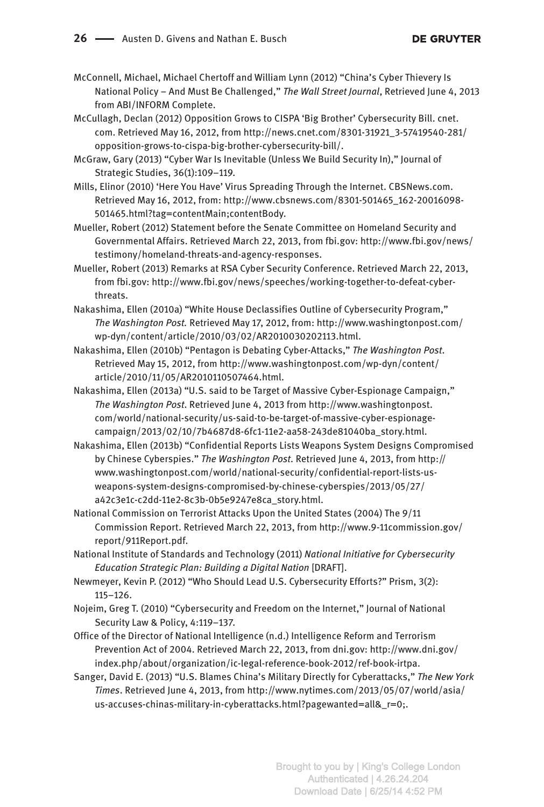McConnell, Michael, Michael Chertoff and William Lynn (2012) "China's Cyber Thievery Is National Policy – And Must Be Challenged," *The Wall Street Journal*, Retrieved June 4, 2013 from ABI/INFORM Complete.

McCullagh, Declan (2012) Opposition Grows to CISPA 'Big Brother' Cybersecurity Bill. cnet. com. Retrieved May 16, 2012, from [http://news.cnet.com/8301-31921\\_3-57419540-281/](http://news.cnet.com/8301-31921_3-57419540-281/opposition-grows-to-cispa-big-brother-cybersecurity-bill/) [opposition-grows-to-cispa-big-brother-cybersecurity-bill/](http://news.cnet.com/8301-31921_3-57419540-281/opposition-grows-to-cispa-big-brother-cybersecurity-bill/).

McGraw, Gary (2013) "Cyber War Is Inevitable (Unless We Build Security In)," Journal of Strategic Studies, 36(1):109–119.

- Mills, Elinor (2010) 'Here You Have' Virus Spreading Through the Internet. CBSNews.com. Retrieved May 16, 2012, from: [http://www.cbsnews.com/8301-501465\\_162-20016098-](http://www.cbsnews.com/8301-501465_162-20016098-501465.html?tag=contentMain;contentBody) [501465.html?tag=contentMain;contentBody.](http://www.cbsnews.com/8301-501465_162-20016098-501465.html?tag=contentMain;contentBody)
- Mueller, Robert (2012) Statement before the Senate Committee on Homeland Security and Governmental Affairs. Retrieved March 22, 2013, from fbi.gov: [http://www.fbi.gov/news/](http://www.fbi.gov/news/testimony/homeland-threats-and-agency-responses) [testimony/homeland-threats-and-agency-responses.](http://www.fbi.gov/news/testimony/homeland-threats-and-agency-responses)
- Mueller, Robert (2013) Remarks at RSA Cyber Security Conference. Retrieved March 22, 2013, from fbi.gov: [http://www.fbi.gov/news/speeches/working-together-to-defeat-cyber](http://www.fbi.gov/news/speeches/working-together-to-defeat-cyber-threats)[threats](http://www.fbi.gov/news/speeches/working-together-to-defeat-cyber-threats).
- Nakashima, Ellen (2010a) "White House Declassifies Outline of Cybersecurity Program," *The Washington Post.* Retrieved May 17, 2012, from: [http://www.washingtonpost.com/](http://www.washingtonpost.com/wp-dyn/content/article/2010/03/02/AR2010030202113.html) [wp-dyn/content/article/2010/03/02/AR2010030202113.html](http://www.washingtonpost.com/wp-dyn/content/article/2010/03/02/AR2010030202113.html).
- Nakashima, Ellen (2010b) "Pentagon is Debating Cyber-Attacks," *The Washington Post*. Retrieved May 15, 2012, from [http://www.washingtonpost.com/wp-dyn/content/](http://www.washingtonpost.com/wp-dyn/content/article/2010/11/05/AR2010110507464.html) [article/2010/11/05/AR2010110507464.html](http://www.washingtonpost.com/wp-dyn/content/article/2010/11/05/AR2010110507464.html).
- Nakashima, Ellen (2013a) "U.S. said to be Target of Massive Cyber-Espionage Campaign," *The Washington Post*. Retrieved June 4, 2013 from [http://www.washingtonpost.](http://www.washingtonpost.com/world/national-security/us-said-to-be-target-of-massive-cyber-espionage-campaign/2013/02/10/7b4687d8-6fc1-11e2-aa58-243de81040ba_story.html) [com/world/national-security/us-said-to-be-target-of-massive-cyber-espionage](http://www.washingtonpost.com/world/national-security/us-said-to-be-target-of-massive-cyber-espionage-campaign/2013/02/10/7b4687d8-6fc1-11e2-aa58-243de81040ba_story.html)[campaign/2013/02/10/7b4687d8-6fc1-11e2-aa58-243de81040ba\\_story.html.](http://www.washingtonpost.com/world/national-security/us-said-to-be-target-of-massive-cyber-espionage-campaign/2013/02/10/7b4687d8-6fc1-11e2-aa58-243de81040ba_story.html)
- Nakashima, Ellen (2013b) "Confidential Reports Lists Weapons System Designs Compromised by Chinese Cyberspies." *The Washington Post*. Retrieved June 4, 2013, from [http://](http://www.washingtonpost.com/world/national-security/confidential-report-lists-us-weapons-system-designs-compromised-by-chinese-cyberspies/2013/05/27/a42c3e1c-c2dd-11e2-8c3b-0b5e9247e8ca_story.html) [www.washingtonpost.com/world/national-security/confidential-report-lists-us](http://www.washingtonpost.com/world/national-security/confidential-report-lists-us-weapons-system-designs-compromised-by-chinese-cyberspies/2013/05/27/a42c3e1c-c2dd-11e2-8c3b-0b5e9247e8ca_story.html)[weapons-system-designs-compromised-by-chinese-cyberspies/2013/05/27/](http://www.washingtonpost.com/world/national-security/confidential-report-lists-us-weapons-system-designs-compromised-by-chinese-cyberspies/2013/05/27/a42c3e1c-c2dd-11e2-8c3b-0b5e9247e8ca_story.html) [a42c3e1c-c2dd-11e2-8c3b-0b5e9247e8ca\\_story.html](http://www.washingtonpost.com/world/national-security/confidential-report-lists-us-weapons-system-designs-compromised-by-chinese-cyberspies/2013/05/27/a42c3e1c-c2dd-11e2-8c3b-0b5e9247e8ca_story.html).
- National Commission on Terrorist Attacks Upon the United States (2004) The 9/11 Commission Report. Retrieved March 22, 2013, from [http://www.9-11commission.gov/](http://www.9-11commission.gov/report/911Report.pdf) [report/911Report.pdf.](http://www.9-11commission.gov/report/911Report.pdf)
- National Institute of Standards and Technology (2011) *National Initiative for Cybersecurity Education Strategic Plan: Building a Digital Nation* [DRAFT].
- Newmeyer, Kevin P. (2012) "Who Should Lead U.S. Cybersecurity Efforts?" Prism, 3(2): 115–126.
- Nojeim, Greg T. (2010) "Cybersecurity and Freedom on the Internet," Journal of National Security Law & Policy, 4:119–137.
- Office of the Director of National Intelligence (n.d.) Intelligence Reform and Terrorism Prevention Act of 2004. Retrieved March 22, 2013, from dni.gov: [http://www.dni.gov/](http://www.dni.gov/index.php/about/organization/ic-legal-reference-book-2012/ref-book-irtpa) [index.php/about/organization/ic-legal-reference-book-2012/ref-book-irtpa](http://www.dni.gov/index.php/about/organization/ic-legal-reference-book-2012/ref-book-irtpa).
- Sanger, David E. (2013) "U.S. Blames China's Military Directly for Cyberattacks," *The New York Times*. Retrieved June 4, 2013, from [http://www.nytimes.com/2013/05/07/world/asia/](http://www.nytimes.com/2013/05/07/world/asia/us-accuses-chinas-military-in-cyberattacks.html?pagewanted=all&_r=0;) [us-accuses-chinas-military-in-cyberattacks.html?pagewanted=all&\\_r=0;.](http://www.nytimes.com/2013/05/07/world/asia/us-accuses-chinas-military-in-cyberattacks.html?pagewanted=all&_r=0;)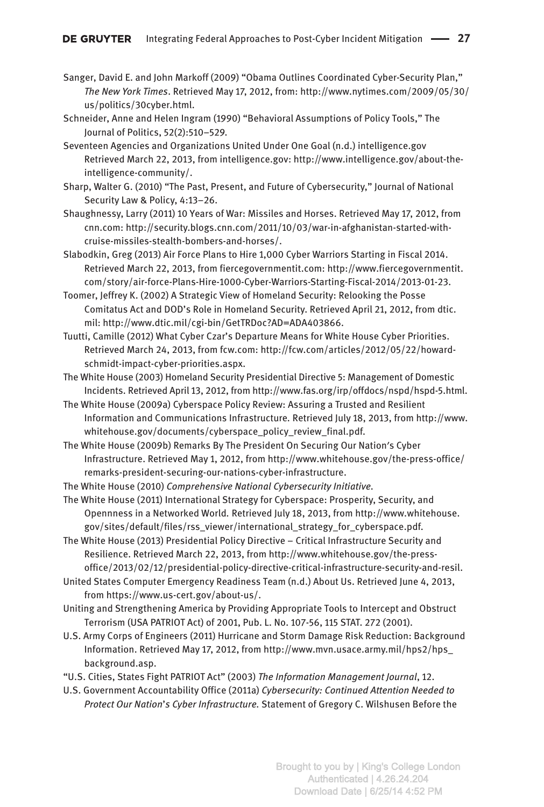- Sanger, David E. and John Markoff (2009) "Obama Outlines Coordinated Cyber-Security Plan," *The New York Times*. Retrieved May 17, 2012, from: [http://www.nytimes.com/2009/05/30/](http://www.nytimes.com/2009/05/30/us/politics/30cyber.html) [us/politics/30cyber.html](http://www.nytimes.com/2009/05/30/us/politics/30cyber.html).
- Schneider, Anne and Helen Ingram (1990) "Behavioral Assumptions of Policy Tools," The Journal of Politics, 52(2):510–529.
- Seventeen Agencies and Organizations United Under One Goal (n.d.) intelligence.gov Retrieved March 22, 2013, from intelligence.gov: [http://www.intelligence.gov/about-the](http://www.intelligence.gov/about-the-intelligence-community/)[intelligence-community/](http://www.intelligence.gov/about-the-intelligence-community/).
- Sharp, Walter G. (2010) "The Past, Present, and Future of Cybersecurity," Journal of National Security Law & Policy, 4:13–26.
- Shaughnessy, Larry (2011) 10 Years of War: Missiles and Horses. Retrieved May 17, 2012, from cnn.com: [http://security.blogs.cnn.com/2011/10/03/war-in-afghanistan-started-with](http://security.blogs.cnn.com/2011/10/03/war-in-afghanistan-started-with-cruise-missiles-stealth-bombers-and-horses/)[cruise-missiles-stealth-bombers-and-horses/](http://security.blogs.cnn.com/2011/10/03/war-in-afghanistan-started-with-cruise-missiles-stealth-bombers-and-horses/).
- Slabodkin, Greg (2013) Air Force Plans to Hire 1,000 Cyber Warriors Starting in Fiscal 2014. Retrieved March 22, 2013, from fiercegovernmentit.com: [http://www.fiercegovernmentit.](http://www.fiercegovernmentit.com/story/air-force-Plans-Hire-1000-Cyber-Warriors-Starting-Fiscal-2014/2013-01-23) [com/story/air-force-Plans-Hire-1000-Cyber-Warriors-Starting-Fiscal-2014/2013-01-23](http://www.fiercegovernmentit.com/story/air-force-Plans-Hire-1000-Cyber-Warriors-Starting-Fiscal-2014/2013-01-23).
- Toomer, Jeffrey K. (2002) A Strategic View of Homeland Security: Relooking the Posse Comitatus Act and DOD's Role in Homeland Security. Retrieved April 21, 2012, from dtic. mil: [http://www.dtic.mil/cgi-bin/GetTRDoc?AD=ADA403866.](http://www.dtic.mil/cgi-bin/GetTRDoc?AD=ADA403866)
- Tuutti, Camille (2012) What Cyber Czar's Departure Means for White House Cyber Priorities. Retrieved March 24, 2013, from fcw.com: [http://fcw.com/articles/2012/05/22/howard](http://fcw.com/articles/2012/05/22/howard-schmidt-impact-cyber-priorities.aspx)[schmidt-impact-cyber-priorities.aspx](http://fcw.com/articles/2012/05/22/howard-schmidt-impact-cyber-priorities.aspx).
- The White House (2003) Homeland Security Presidential Directive 5: Management of Domestic Incidents. Retrieved April 13, 2012, from <http://www.fas.org/irp/offdocs/nspd/hspd-5.html>.
- The White House (2009a) Cyberspace Policy Review: Assuring a Trusted and Resilient Information and Communications Infrastructure*.* Retrieved July 18, 2013, from [http://www.](http://www.whitehouse.gov/documents/cyberspace_policy_review_final.pdf) [whitehouse.gov/documents/cyberspace\\_policy\\_review\\_final.pdf](http://www.whitehouse.gov/documents/cyberspace_policy_review_final.pdf)*.*
- The White House (2009b) Remarks By The President On Securing Our Nation′s Cyber Infrastructure. Retrieved May 1, 2012, from [http://www.whitehouse.gov/the-press-office/](http://www.whitehouse.gov/the-press-office/remarks-president-securing-our-nations-cyber-infrastructure) [remarks-president-securing-our-nations-cyber-infrastructure.](http://www.whitehouse.gov/the-press-office/remarks-president-securing-our-nations-cyber-infrastructure)
- The White House (2010) *Comprehensive National Cybersecurity Initiative.*
- The White House (2011) International Strategy for Cyberspace: Prosperity, Security, and Opennness in a Networked World*.* Retrieved July 18, 2013, from [http://www.whitehouse.](http://www.whitehouse.gov/sites/default/files/rss_viewer/international_strategy_for_cyberspace.pdf) [gov/sites/default/files/rss\\_viewer/international\\_strategy\\_for\\_cyberspace.pdf](http://www.whitehouse.gov/sites/default/files/rss_viewer/international_strategy_for_cyberspace.pdf)*.*
- The White House (2013) Presidential Policy Directive Critical Infrastructure Security and Resilience. Retrieved March 22, 2013, from [http://www.whitehouse.gov/the-press](http://www.whitehouse.gov/the-press-office/2013/02/12/presidential-policy-directive-critical-infrastructure-security-and-resil.)[office/2013/02/12/presidential-policy-directive-critical-infrastructure-security-and-resil.](http://www.whitehouse.gov/the-press-office/2013/02/12/presidential-policy-directive-critical-infrastructure-security-and-resil.)
- United States Computer Emergency Readiness Team (n.d.) About Us. Retrieved June 4, 2013, from [https://www.us-cert.gov/about-us/.](https://www.us-cert.gov/about-us/)
- Uniting and Strengthening America by Providing Appropriate Tools to Intercept and Obstruct Terrorism (USA PATRIOT Act) of 2001, Pub. L. No. 107-56, 115 STAT. 272 (2001).
- U.S. Army Corps of Engineers (2011) Hurricane and Storm Damage Risk Reduction: Background Information. Retrieved May 17, 2012, from [http://www.mvn.usace.army.mil/hps2/hps\\_](http://www.mvn.usace.army.mil/hps2/hps_background.asp) [background.asp](http://www.mvn.usace.army.mil/hps2/hps_background.asp).
- "U.S. Cities, States Fight PATRIOT Act" (2003) *The Information Management Journal*, 12.
- U.S. Government Accountability Office (2011a) *Cybersecurity: Continued Attention Needed to Protect Our Nation*'*s Cyber Infrastructure.* Statement of Gregory C. Wilshusen Before the